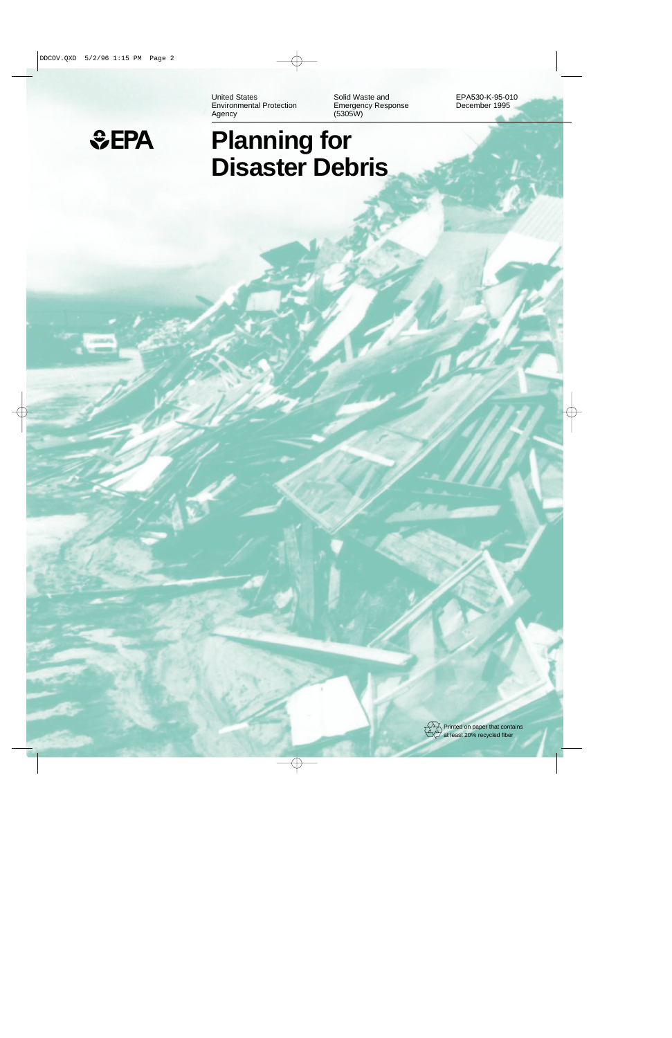United States **Solid Waste and EPA530-K-95-010** Environmental Protection<br>
Emergency Response<br>
Agency (5305W) Agency (5305W)



# 1EPA **Planning for Disaster Debris**

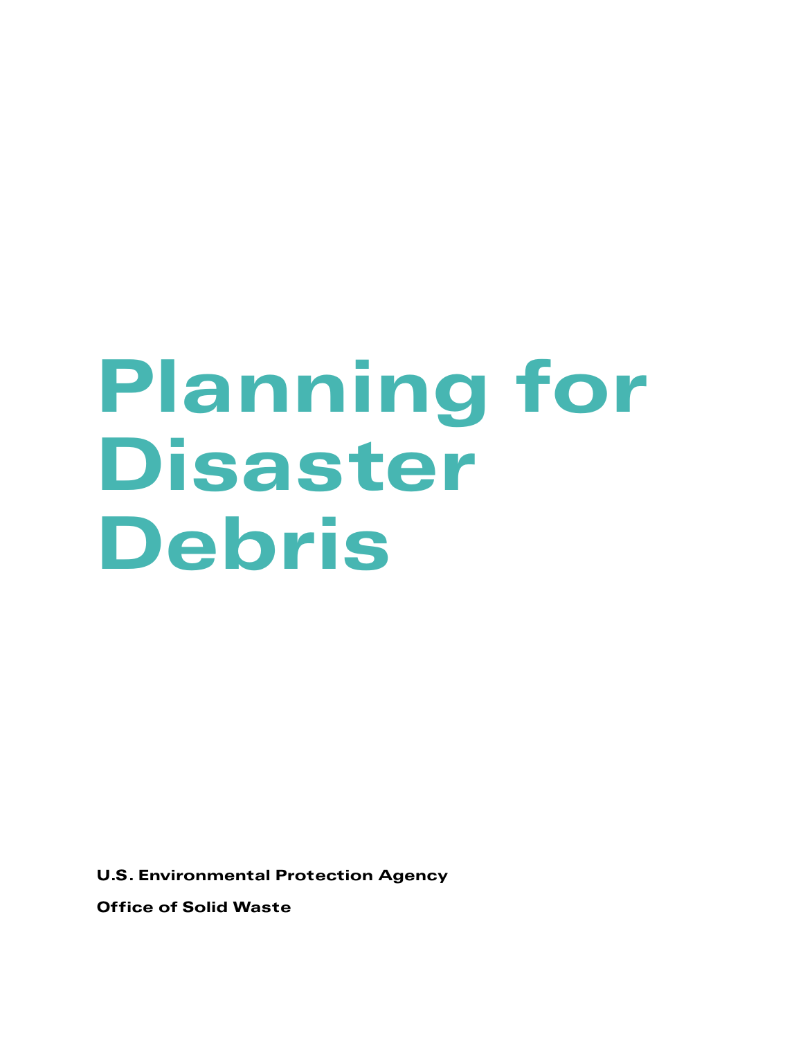# Planning for Disaster Debris

U.S. Environmental Protection Agency

Office of Solid Waste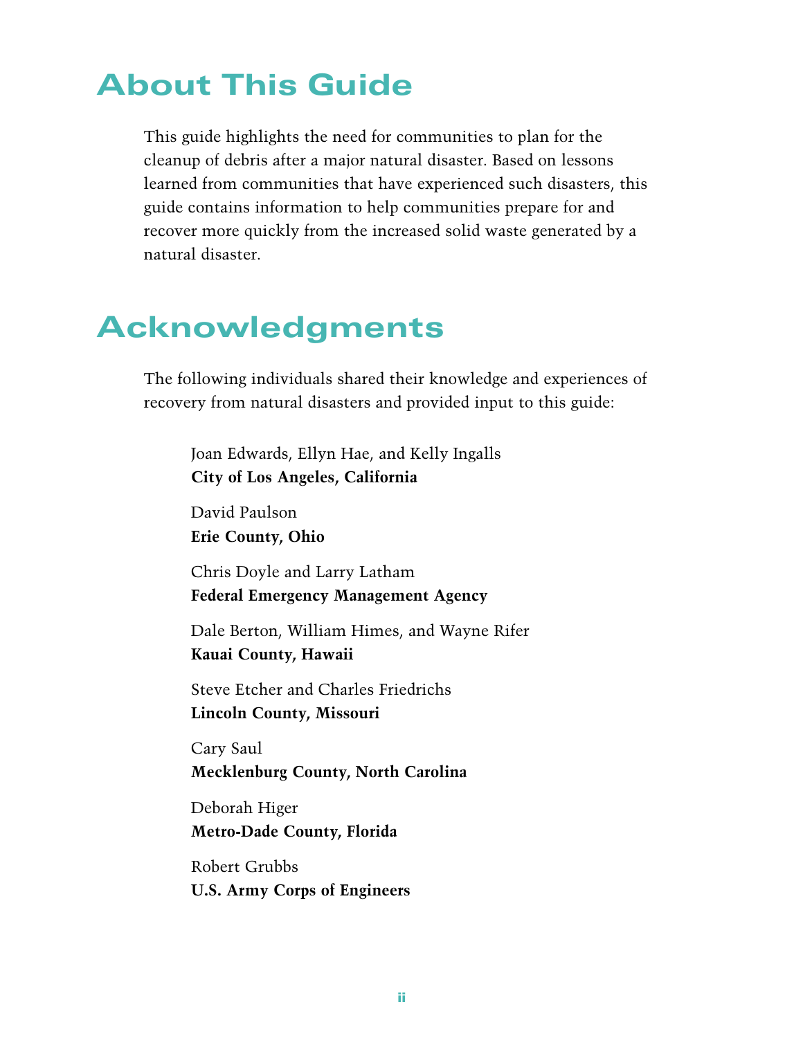# About This Guide

This guide highlights the need for communities to plan for the cleanup of debris after a major natural disaster. Based on lessons learned from communities that have experienced such disasters, this guide contains information to help communities prepare for and recover more quickly from the increased solid waste generated by a natural disaster.

# Acknowledgments

The following individuals shared their knowledge and experiences of recovery from natural disasters and provided input to this guide:

Joan Edwards, Ellyn Hae, and Kelly Ingalls **City of Los Angeles, California**

David Paulson **Erie County, Ohio**

Chris Doyle and Larry Latham **Federal Emergency Management Agency**

Dale Berton, William Himes, and Wayne Rifer **Kauai County, Hawaii**

Steve Etcher and Charles Friedrichs **Lincoln County, Missouri**

Cary Saul **Mecklenburg County, North Carolina**

Deborah Higer **Metro-Dade County, Florida**

Robert Grubbs **U.S. Army Corps of Engineers**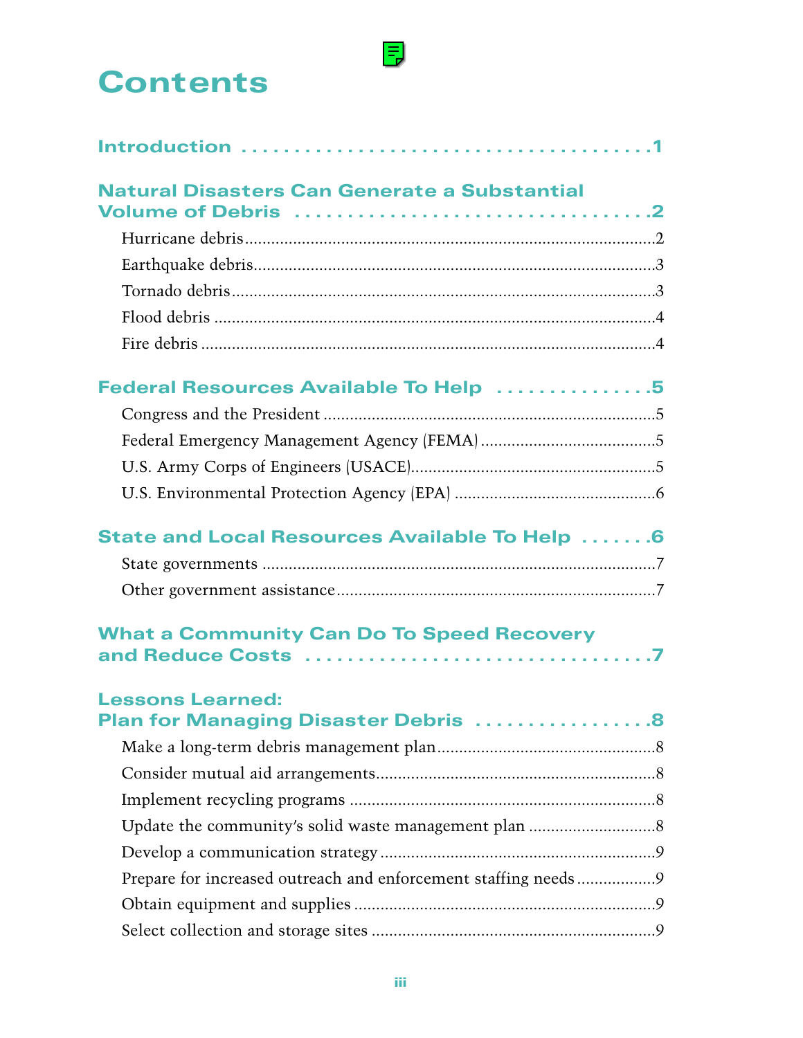# **Contents**

| <b>Natural Disasters Can Generate a Substantial</b>             |
|-----------------------------------------------------------------|
|                                                                 |
|                                                                 |
|                                                                 |
|                                                                 |
|                                                                 |
|                                                                 |
| Federal Resources Available To Help 5                           |
|                                                                 |
|                                                                 |
|                                                                 |
|                                                                 |
| <b>State and Local Resources Available To Help 6</b>            |
|                                                                 |
|                                                                 |
| <b>What a Community Can Do To Speed Recovery</b>                |
| <b>Lessons Learned:</b><br>Plan for Managing Disaster Debris 8  |
|                                                                 |
|                                                                 |
|                                                                 |
|                                                                 |
|                                                                 |
| Prepare for increased outreach and enforcement staffing needs 9 |
|                                                                 |
|                                                                 |

 $\mathsf{F}_{\mathbf{z}}$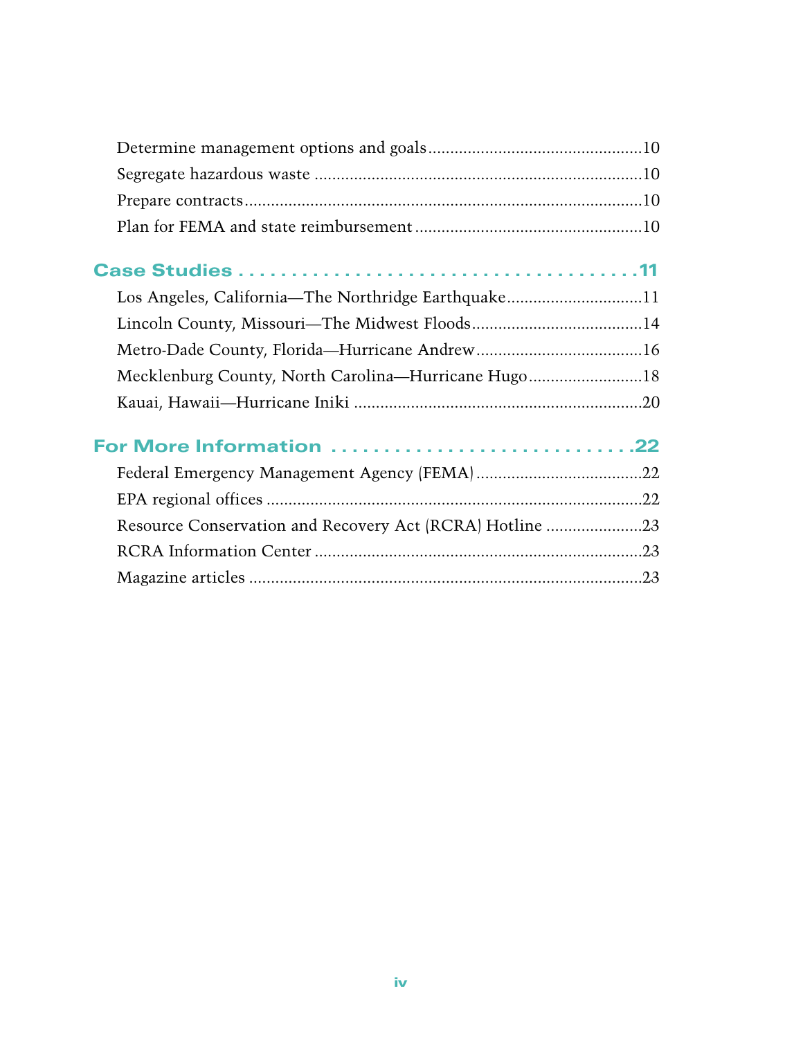| Los Angeles, California—The Northridge Earthquake11      |  |
|----------------------------------------------------------|--|
|                                                          |  |
|                                                          |  |
| Mecklenburg County, North Carolina—Hurricane Hugo18      |  |
|                                                          |  |
| For More Information 22                                  |  |
|                                                          |  |
|                                                          |  |
| Resource Conservation and Recovery Act (RCRA) Hotline 23 |  |
|                                                          |  |
|                                                          |  |
|                                                          |  |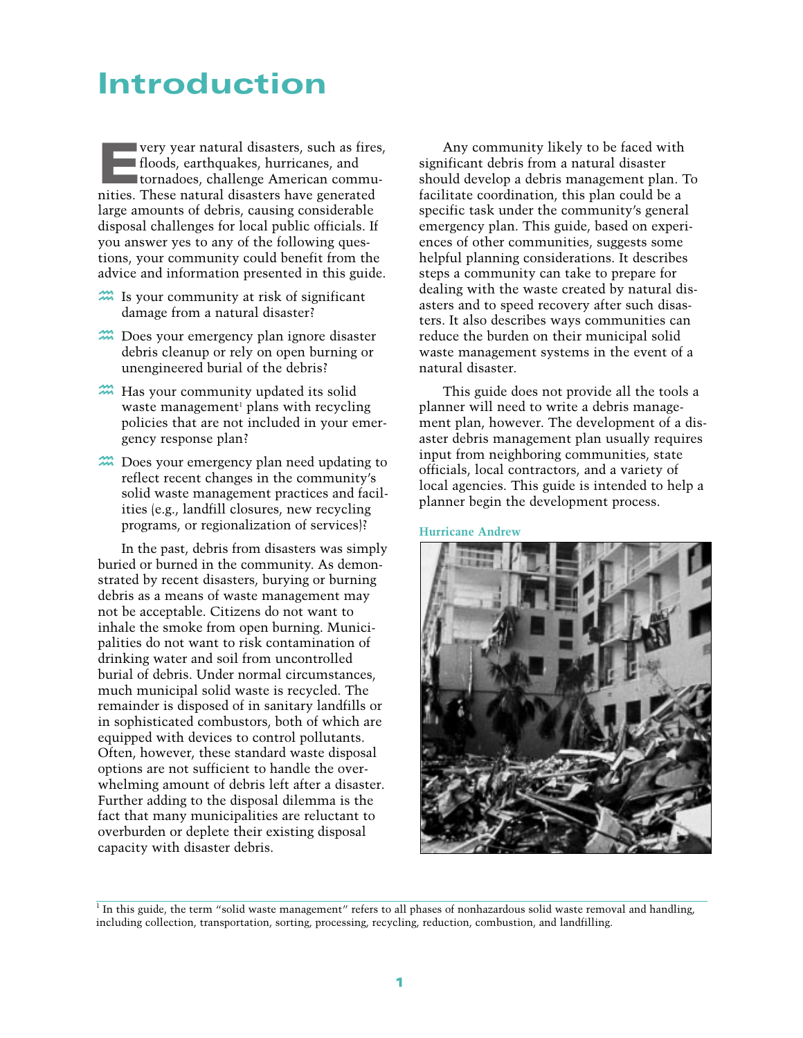# <span id="page-5-0"></span>Introduction

**Every year natural disasters, such as fires,**<br>floods, earthquakes, hurricanes, and<br>tornadoes, challenge American commu-<br>nities. These natural disasters have generated floods, earthquakes, hurricanes, and nities. These natural disasters have generated large amounts of debris, causing considerable disposal challenges for local public officials. If you answer yes to any of the following questions, your community could benefit from the advice and information presented in this guide.

- $\mathfrak{m}$  Is your community at risk of significant damage from a natural disaster?
- **222** Does your emergency plan ignore disaster debris cleanup or rely on open burning or unengineered burial of the debris?
- Has your community updated its solid waste management<sup>1</sup> plans with recycling policies that are not included in your emergency response plan?
- **h Does your emergency plan need updating to** reflect recent changes in the community's solid waste management practices and facilities (e.g., landfill closures, new recycling programs, or regionalization of services)?

In the past, debris from disasters was simply buried or burned in the community. As demonstrated by recent disasters, burying or burning debris as a means of waste management may not be acceptable. Citizens do not want to inhale the smoke from open burning. Municipalities do not want to risk contamination of drinking water and soil from uncontrolled burial of debris. Under normal circumstances, much municipal solid waste is recycled. The remainder is disposed of in sanitary landfills or in sophisticated combustors, both of which are equipped with devices to control pollutants. Often, however, these standard waste disposal options are not sufficient to handle the overwhelming amount of debris left after a disaster. Further adding to the disposal dilemma is the fact that many municipalities are reluctant to overburden or deplete their existing disposal capacity with disaster debris.

Any community likely to be faced with significant debris from a natural disaster should develop a debris management plan. To facilitate coordination, this plan could be a specific task under the community's general emergency plan. This guide, based on experiences of other communities, suggests some helpful planning considerations. It describes steps a community can take to prepare for dealing with the waste created by natural disasters and to speed recovery after such disasters. It also describes ways communities can reduce the burden on their municipal solid waste management systems in the event of a natural disaster.

This guide does not provide all the tools a planner will need to write a debris management plan, however. The development of a disaster debris management plan usually requires input from neighboring communities, state officials, local contractors, and a variety of local agencies. This guide is intended to help a planner begin the development process.

**Hurricane Andrew**



 $1$  In this guide, the term "solid waste management" refers to all phases of nonhazardous solid waste removal and handling, including collection, transportation, sorting, processing, recycling, reduction, combustion, and landfilling.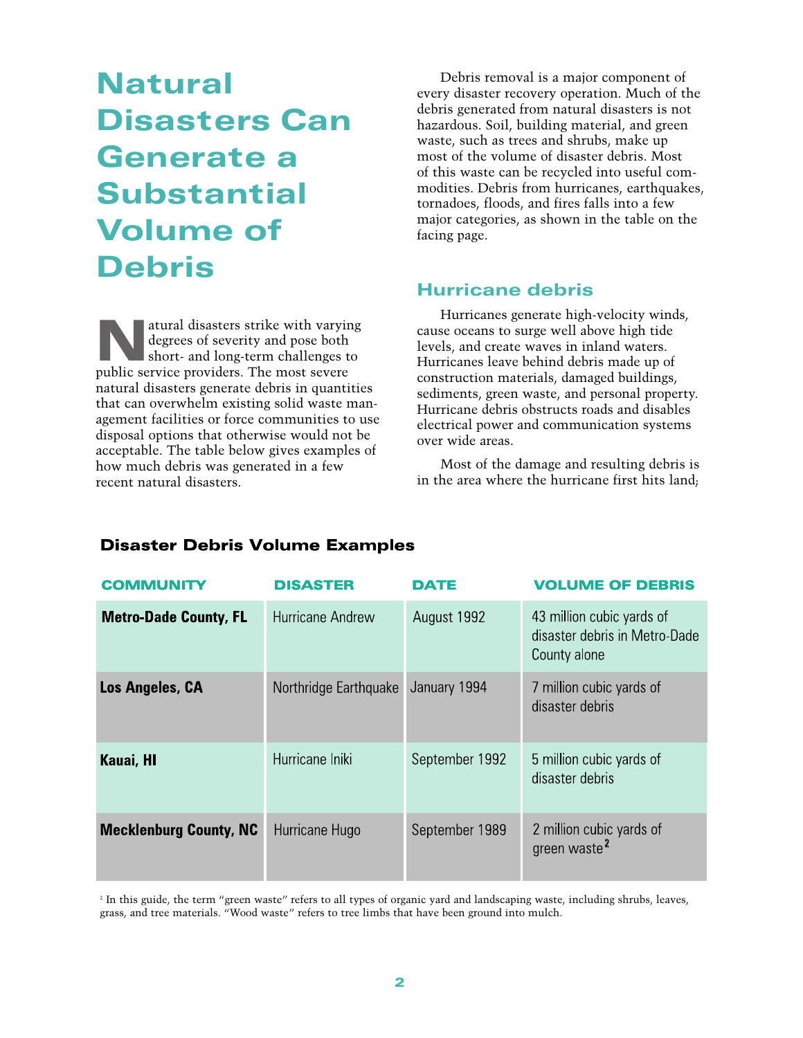# <span id="page-6-0"></span>Natural Disasters Can Generate a **Substantial** Volume of Debris

atural disasters strike with varying<br>degrees of severity and pose both<br>short- and long-term challenges to<br>public service providers. The most severe degrees of severity and pose both public service providers. The most severe natural disasters generate debris in quantities that can overwhelm existing solid waste management facilities or force communities to use disposal options that otherwise would not be acceptable. The table below gives examples of how much debris was generated in a few recent natural disasters.

Debris removal is a major component of every disaster recovery operation. Much of the debris generated from natural disasters is not hazardous. Soil, building material, and green waste, such as trees and shrubs, make up most of the volume of disaster debris. Most of this waste can be recycled into useful commodities. Debris from hurricanes, earthquakes, tornadoes, floods, and fires falls into a few major categories, as shown in the table on the facing page.

#### Hurricane debris

Hurricanes generate high-velocity winds, cause oceans to surge well above high tide levels, and create waves in inland waters. Hurricanes leave behind debris made up of construction materials, damaged buildings, sediments, green waste, and personal property. Hurricane debris obstructs roads and disables electrical power and communication systems over wide areas.

Most of the damage and resulting debris is in the area where the hurricane first hits land;

| <b>COMMUNITY</b>              | <b>DISASTER</b>       | <b>DATE</b>    | <b>VOLUME OF DEBRIS</b>                                                    |
|-------------------------------|-----------------------|----------------|----------------------------------------------------------------------------|
| <b>Metro-Dade County, FL</b>  | Hurricane Andrew      | August 1992    | 43 million cubic yards of<br>disaster debris in Metro-Dade<br>County alone |
| Los Angeles, CA               | Northridge Earthquake | January 1994   | 7 million cubic yards of<br>disaster debris                                |
| Kauai, HI                     | Hurricane Iniki       | September 1992 | 5 million cubic yards of<br>disaster debris                                |
| <b>Mecklenburg County, NC</b> | Hurricane Hugo        | September 1989 | 2 million cubic yards of<br>green waste <sup>2</sup>                       |

#### **Disaster Debris Volume Examples**

<sup>2</sup> In this guide, the term "green waste" refers to all types of organic yard and landscaping waste, including shrubs, leaves, grass, and tree materials. "Wood waste" refers to tree limbs that have been ground into mulch.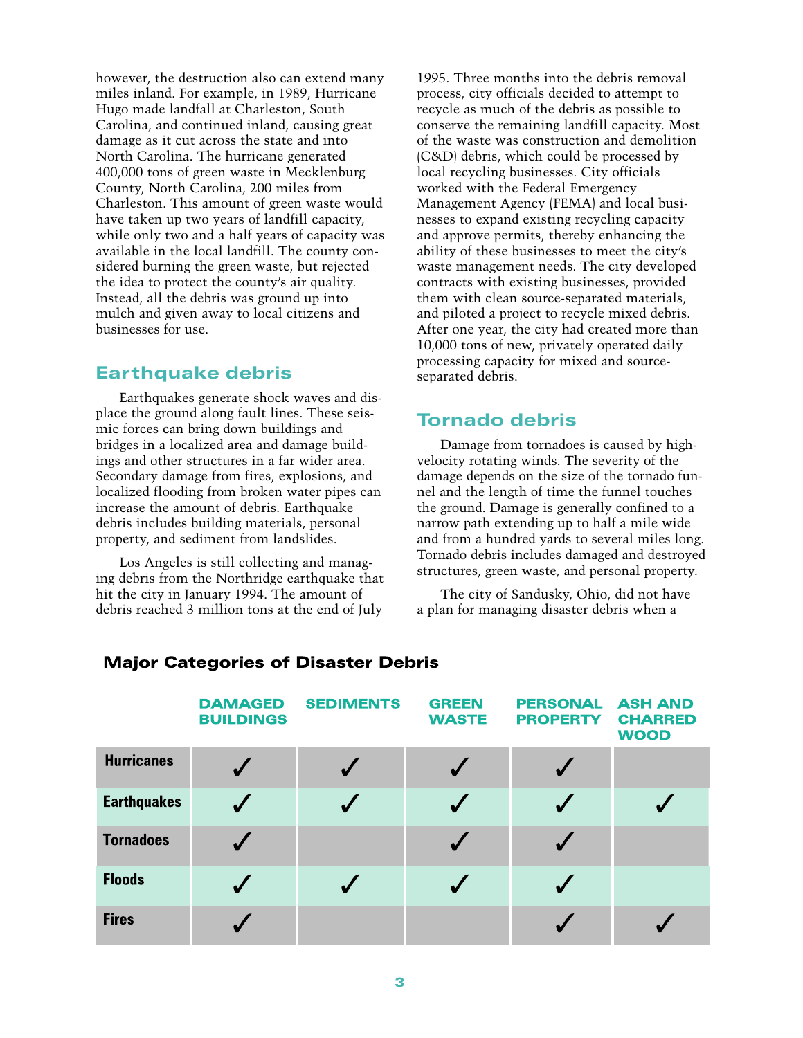<span id="page-7-0"></span>however, the destruction also can extend many miles inland. For example, in 1989, Hurricane Hugo made landfall at Charleston, South Carolina, and continued inland, causing great damage as it cut across the state and into North Carolina. The hurricane generated 400,000 tons of green waste in Mecklenburg County, North Carolina, 200 miles from Charleston. This amount of green waste would have taken up two years of landfill capacity, while only two and a half years of capacity was available in the local landfill. The county considered burning the green waste, but rejected the idea to protect the county's air quality. Instead, all the debris was ground up into mulch and given away to local citizens and businesses for use.

#### Earthquake debris

Earthquakes generate shock waves and displace the ground along fault lines. These seismic forces can bring down buildings and bridges in a localized area and damage buildings and other structures in a far wider area. Secondary damage from fires, explosions, and localized flooding from broken water pipes can increase the amount of debris. Earthquake debris includes building materials, personal property, and sediment from landslides.

Los Angeles is still collecting and managing debris from the Northridge earthquake that hit the city in January 1994. The amount of debris reached 3 million tons at the end of July

1995. Three months into the debris removal process, city officials decided to attempt to recycle as much of the debris as possible to conserve the remaining landfill capacity. Most of the waste was construction and demolition (C&D) debris, which could be processed by local recycling businesses. City officials worked with the Federal Emergency Management Agency (FEMA) and local businesses to expand existing recycling capacity and approve permits, thereby enhancing the ability of these businesses to meet the city's waste management needs. The city developed contracts with existing businesses, provided them with clean source-separated materials, and piloted a project to recycle mixed debris. After one year, the city had created more than 10,000 tons of new, privately operated daily processing capacity for mixed and sourceseparated debris.

#### Tornado debris

Damage from tornadoes is caused by highvelocity rotating winds. The severity of the damage depends on the size of the tornado funnel and the length of time the funnel touches the ground. Damage is generally confined to a narrow path extending up to half a mile wide and from a hundred yards to several miles long. Tornado debris includes damaged and destroyed structures, green waste, and personal property.

The city of Sandusky, Ohio, did not have a plan for managing disaster debris when a

|                    | <b>DAMAGED</b><br><b>BUILDINGS</b> | <b>SEDIMENTS</b> | <b>GREEN</b><br><b>WASTE</b> | <b>PERSONAL</b><br><b>PROPERTY</b> | <b>ASH AND</b><br><b>CHARRED</b><br><b>WOOD</b> |
|--------------------|------------------------------------|------------------|------------------------------|------------------------------------|-------------------------------------------------|
| <b>Hurricanes</b>  |                                    |                  |                              |                                    |                                                 |
| <b>Earthquakes</b> |                                    |                  | $\sqrt{}$                    | ✔                                  |                                                 |
| <b>Tornadoes</b>   |                                    |                  |                              |                                    |                                                 |
| <b>Floods</b>      |                                    |                  |                              |                                    |                                                 |
| <b>Fires</b>       |                                    |                  |                              |                                    |                                                 |

#### **Major Categories of Disaster Debris**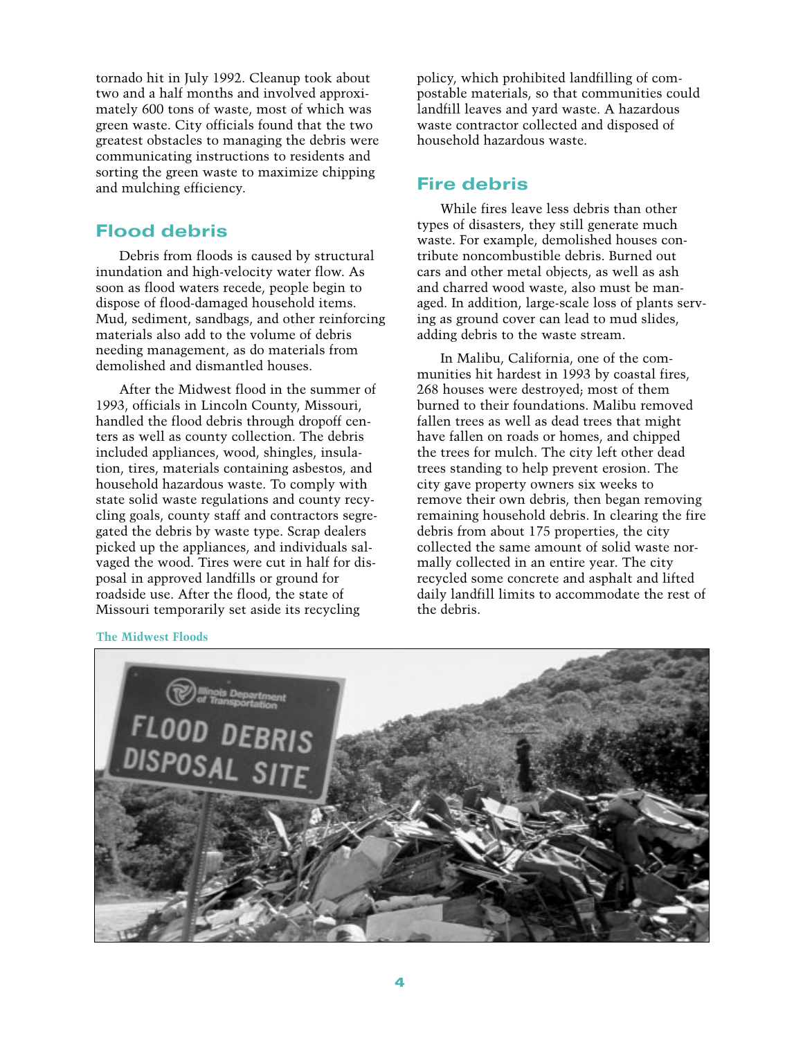<span id="page-8-0"></span>tornado hit in July 1992. Cleanup took about two and a half months and involved approximately 600 tons of waste, most of which was green waste. City officials found that the two greatest obstacles to managing the debris were communicating instructions to residents and sorting the green waste to maximize chipping and mulching efficiency.

#### Flood debris

Debris from floods is caused by structural inundation and high-velocity water flow. As soon as flood waters recede, people begin to dispose of flood-damaged household items. Mud, sediment, sandbags, and other reinforcing materials also add to the volume of debris needing management, as do materials from demolished and dismantled houses.

After the Midwest flood in the summer of 1993, officials in Lincoln County, Missouri, handled the flood debris through dropoff centers as well as county collection. The debris included appliances, wood, shingles, insulation, tires, materials containing asbestos, and household hazardous waste. To comply with state solid waste regulations and county recycling goals, county staff and contractors segregated the debris by waste type. Scrap dealers picked up the appliances, and individuals salvaged the wood. Tires were cut in half for disposal in approved landfills or ground for roadside use. After the flood, the state of Missouri temporarily set aside its recycling

policy, which prohibited landfilling of compostable materials, so that communities could landfill leaves and yard waste. A hazardous waste contractor collected and disposed of household hazardous waste.

#### Fire debris

While fires leave less debris than other types of disasters, they still generate much waste. For example, demolished houses contribute noncombustible debris. Burned out cars and other metal objects, as well as ash and charred wood waste, also must be managed. In addition, large-scale loss of plants serving as ground cover can lead to mud slides, adding debris to the waste stream.

In Malibu, California, one of the communities hit hardest in 1993 by coastal fires, 268 houses were destroyed; most of them burned to their foundations. Malibu removed fallen trees as well as dead trees that might have fallen on roads or homes, and chipped the trees for mulch. The city left other dead trees standing to help prevent erosion. The city gave property owners six weeks to remove their own debris, then began removing remaining household debris. In clearing the fire debris from about 175 properties, the city collected the same amount of solid waste normally collected in an entire year. The city recycled some concrete and asphalt and lifted daily landfill limits to accommodate the rest of the debris.



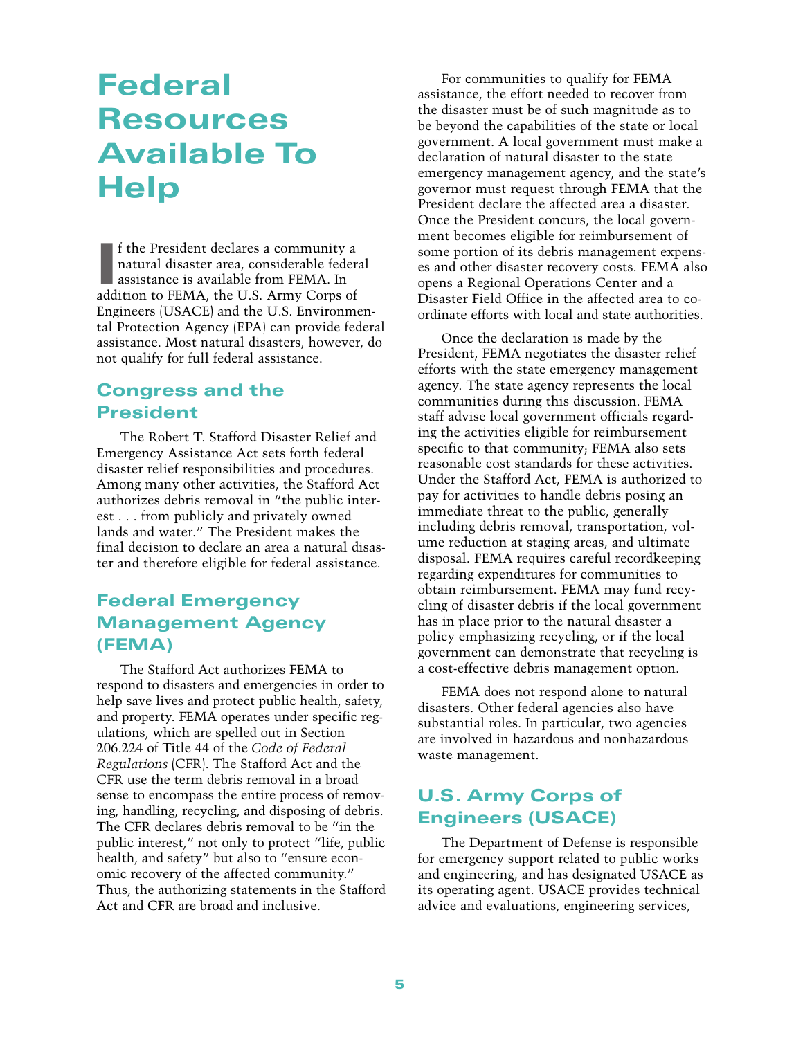# <span id="page-9-0"></span>Federal **Resources** Available To **Help**

If the President declares a community a<br>natural disaster area, considerable feder<br>assistance is available from FEMA. In<br>addition to FEMA, the U.S. Army Corps of f the President declares a community a natural disaster area, considerable federal assistance is available from FEMA. In Engineers (USACE) and the U.S. Environmental Protection Agency (EPA) can provide federal assistance. Most natural disasters, however, do not qualify for full federal assistance.

### Congress and the President

The Robert T. Stafford Disaster Relief and Emergency Assistance Act sets forth federal disaster relief responsibilities and procedures. Among many other activities, the Stafford Act authorizes debris removal in "the public interest . . . from publicly and privately owned lands and water." The President makes the final decision to declare an area a natural disaster and therefore eligible for federal assistance.

# Federal Emergency Management Agency (FEMA)

The Stafford Act authorizes FEMA to respond to disasters and emergencies in order to help save lives and protect public health, safety, and property. FEMA operates under specific regulations, which are spelled out in Section 206.224 of Title 44 of the *Code of Federal Regulations* (CFR). The Stafford Act and the CFR use the term debris removal in a broad sense to encompass the entire process of removing, handling, recycling, and disposing of debris. The CFR declares debris removal to be "in the public interest," not only to protect "life, public health, and safety" but also to "ensure economic recovery of the affected community." Thus, the authorizing statements in the Stafford Act and CFR are broad and inclusive.

For communities to qualify for FEMA assistance, the effort needed to recover from the disaster must be of such magnitude as to be beyond the capabilities of the state or local government. A local government must make a declaration of natural disaster to the state emergency management agency, and the state's governor must request through FEMA that the President declare the affected area a disaster. Once the President concurs, the local government becomes eligible for reimbursement of some portion of its debris management expenses and other disaster recovery costs. FEMA also opens a Regional Operations Center and a Disaster Field Office in the affected area to coordinate efforts with local and state authorities.

Once the declaration is made by the President, FEMA negotiates the disaster relief efforts with the state emergency management agency. The state agency represents the local communities during this discussion. FEMA staff advise local government officials regarding the activities eligible for reimbursement specific to that community; FEMA also sets reasonable cost standards for these activities. Under the Stafford Act, FEMA is authorized to pay for activities to handle debris posing an immediate threat to the public, generally including debris removal, transportation, volume reduction at staging areas, and ultimate disposal. FEMA requires careful recordkeeping regarding expenditures for communities to obtain reimbursement. FEMA may fund recycling of disaster debris if the local government has in place prior to the natural disaster a policy emphasizing recycling, or if the local government can demonstrate that recycling is a cost-effective debris management option.

FEMA does not respond alone to natural disasters. Other federal agencies also have substantial roles. In particular, two agencies are involved in hazardous and nonhazardous waste management.

# U.S. Army Corps of Engineers (USACE)

The Department of Defense is responsible for emergency support related to public works and engineering, and has designated USACE as its operating agent. USACE provides technical advice and evaluations, engineering services,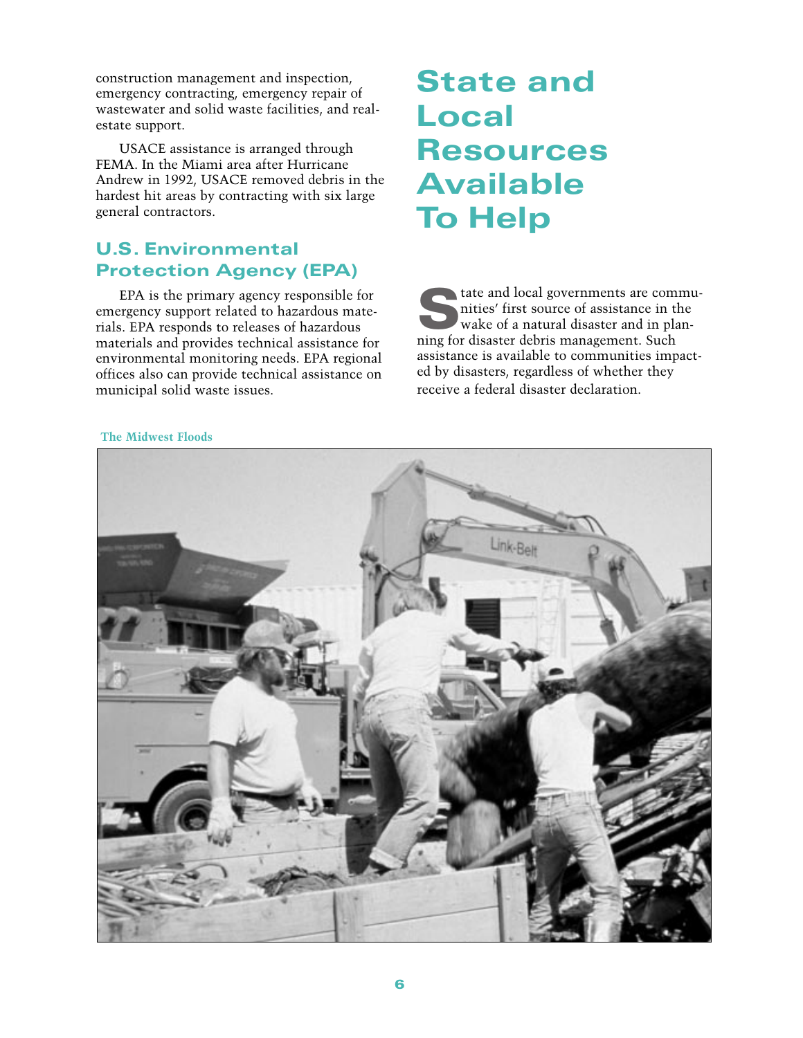<span id="page-10-1"></span><span id="page-10-0"></span>construction management and inspection, emergency contracting, emergency repair of wastewater and solid waste facilities, and realestate support.

USACE assistance is arranged through FEMA. In the Miami area after Hurricane Andrew in 1992, USACE removed debris in the hardest hit areas by contracting with six large general contractors.

# U.S. Environmental Protection Agency (EPA)

EPA is the primary agency responsible for emergency support related to hazardous materials. EPA responds to releases of hazardous materials and provides technical assistance for environmental monitoring needs. EPA regional offices also can provide technical assistance on municipal solid waste issues.

# State and **Local** Resources Available To Help

state and local governments are commu-<br>inties' first source of assistance in the<br>wake of a natural disaster and in plan-<br>ning for disaster debris management. Such nities' first source of assistance in the ning for disaster debris management. Such assistance is available to communities impacted by disasters, regardless of whether they receive a federal disaster declaration.

#### **The Midwest Floods**

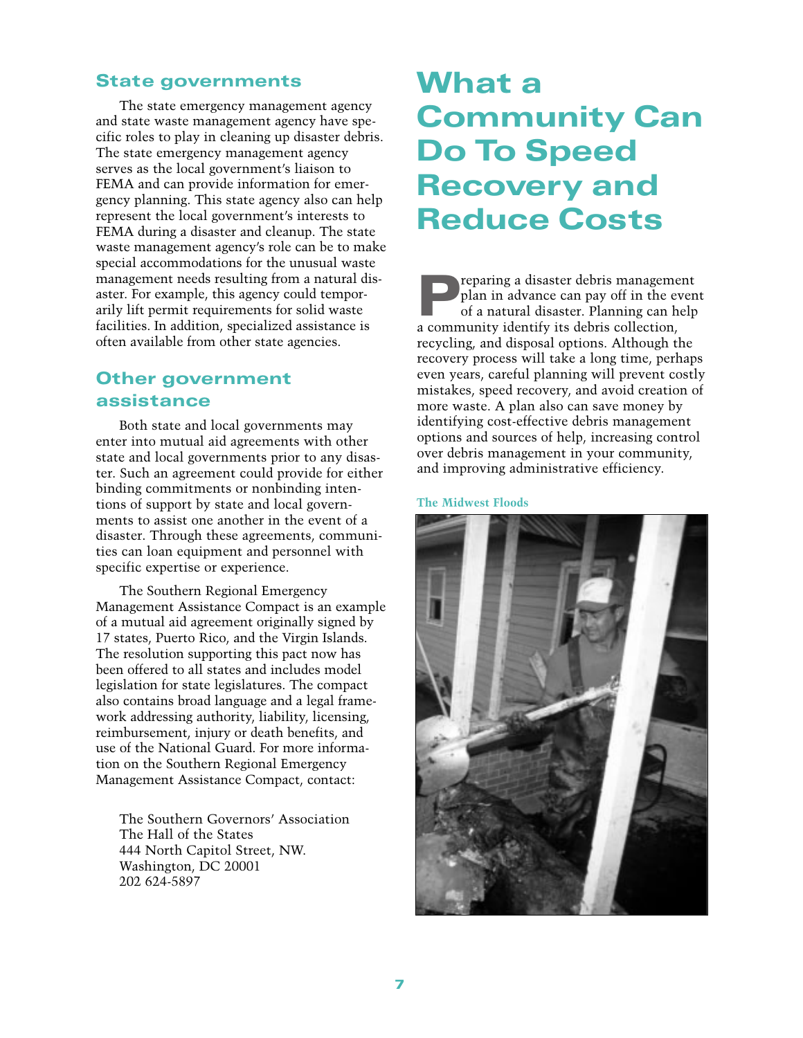#### <span id="page-11-2"></span><span id="page-11-0"></span>State governments

The state emergency management agency and state waste management agency have specific roles to play in cleaning up disaster debris. The state emergency management agency serves as the local government's liaison to FEMA and can provide information for emergency planning. This state agency also can help represent the local government's interests to FEMA during a disaster and cleanup. The state waste management agency's role can be to make special accommodations for the unusual waste management needs resulting from a natural disaster. For example, this agency could temporarily lift permit requirements for solid waste facilities. In addition, specialized assistance is often available from other state agencies.

### <span id="page-11-1"></span>Other government assistance

Both state and local governments may enter into mutual aid agreements with other state and local governments prior to any disaster. Such an agreement could provide for either binding commitments or nonbinding intentions of support by state and local governments to assist one another in the event of a disaster. Through these agreements, communities can loan equipment and personnel with specific expertise or experience.

The Southern Regional Emergency Management Assistance Compact is an example of a mutual aid agreement originally signed by 17 states, Puerto Rico, and the Virgin Islands. The resolution supporting this pact now has been offered to all states and includes model legislation for state legislatures. The compact also contains broad language and a legal framework addressing authority, liability, licensing, reimbursement, injury or death benefits, and use of the National Guard. For more information on the Southern Regional Emergency Management Assistance Compact, contact:

The Southern Governors' Association The Hall of the States 444 North Capitol Street, NW. Washington, DC 20001 202 624-5897

# What a Community Can Do To Speed Recovery and Reduce Costs

Preparing a disaster debris management<br>plan in advance can pay off in the even<br>of a natural disaster. Planning can help plan in advance can pay off in the event of a natural disaster. Planning can help a community identify its debris collection, recycling, and disposal options. Although the recovery process will take a long time, perhaps even years, careful planning will prevent costly mistakes, speed recovery, and avoid creation of more waste. A plan also can save money by identifying cost-effective debris management options and sources of help, increasing control over debris management in your community, and improving administrative efficiency.

**The Midwest Floods**

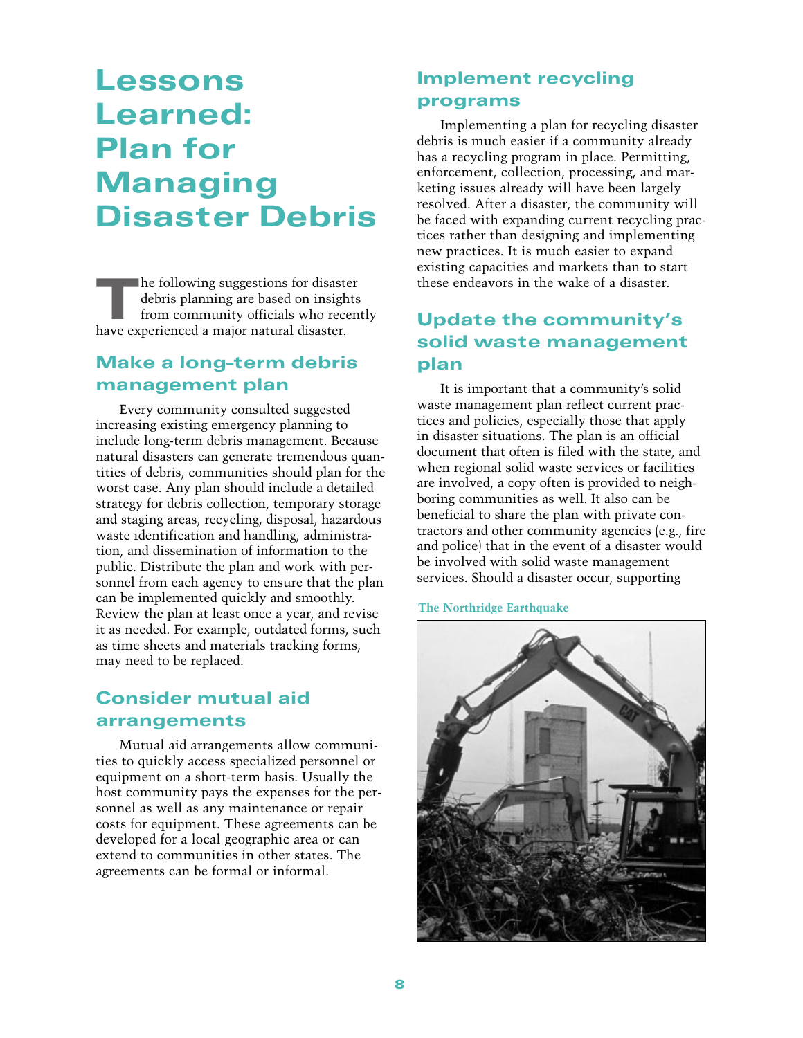# <span id="page-12-2"></span><span id="page-12-0"></span>Lessons Learned: Plan for Managing Disaster Debris

<span id="page-12-3"></span>The following suggestions for disaster<br>debris planning are based on insights<br>from community officials who recen-<br>have experienced a major natural disaster debris planning are based on insights from community officials who recently have experienced a major natural disaster.

### <span id="page-12-1"></span>Make a long-term debris management plan

Every community consulted suggested increasing existing emergency planning to include long-term debris management. Because natural disasters can generate tremendous quantities of debris, communities should plan for the worst case. Any plan should include a detailed strategy for debris collection, temporary storage and staging areas, recycling, disposal, hazardous waste identification and handling, administration, and dissemination of information to the public. Distribute the plan and work with personnel from each agency to ensure that the plan can be implemented quickly and smoothly. Review the plan at least once a year, and revise it as needed. For example, outdated forms, such as time sheets and materials tracking forms, may need to be replaced.

# Consider mutual aid arrangements

Mutual aid arrangements allow communities to quickly access specialized personnel or equipment on a short-term basis. Usually the host community pays the expenses for the personnel as well as any maintenance or repair costs for equipment. These agreements can be developed for a local geographic area or can extend to communities in other states. The agreements can be formal or informal.

### Implement recycling programs

Implementing a plan for recycling disaster debris is much easier if a community already has a recycling program in place. Permitting, enforcement, collection, processing, and marketing issues already will have been largely resolved. After a disaster, the community will be faced with expanding current recycling practices rather than designing and implementing new practices. It is much easier to expand existing capacities and markets than to start these endeavors in the wake of a disaster.

# Update the community's solid waste management plan

It is important that a community's solid waste management plan reflect current practices and policies, especially those that apply in disaster situations. The plan is an official document that often is filed with the state, and when regional solid waste services or facilities are involved, a copy often is provided to neighboring communities as well. It also can be beneficial to share the plan with private contractors and other community agencies (e.g., fire and police) that in the event of a disaster would be involved with solid waste management services. Should a disaster occur, supporting

**The Northridge Earthquake**

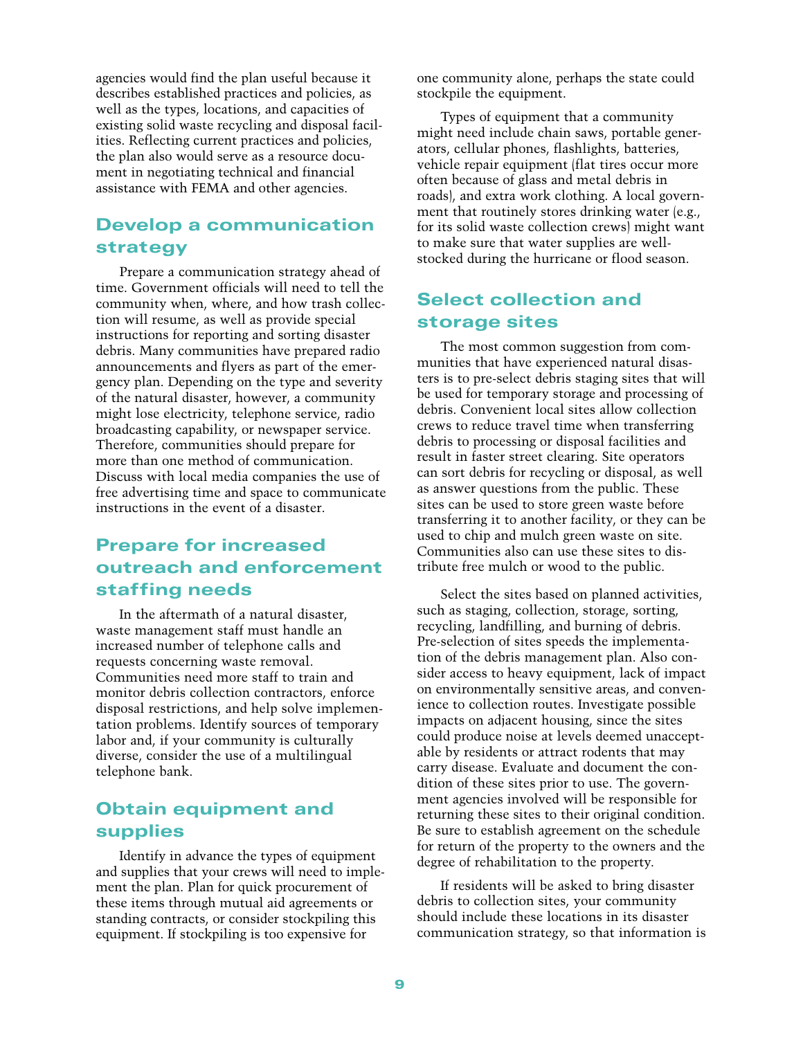agencies would find the plan useful because it describes established practices and policies, as well as the types, locations, and capacities of existing solid waste recycling and disposal facilities. Reflecting current practices and policies, the plan also would serve as a resource document in negotiating technical and financial assistance with FEMA and other agencies.

### <span id="page-13-0"></span>Develop a communication strategy

<span id="page-13-2"></span><span id="page-13-1"></span>Prepare a communication strategy ahead of time. Government officials will need to tell the community when, where, and how trash collection will resume, as well as provide special instructions for reporting and sorting disaster debris. Many communities have prepared radio announcements and flyers as part of the emergency plan. Depending on the type and severity of the natural disaster, however, a community might lose electricity, telephone service, radio broadcasting capability, or newspaper service. Therefore, communities should prepare for more than one method of communication. Discuss with local media companies the use of free advertising time and space to communicate instructions in the event of a disaster.

# Prepare for increased outreach and enforcement staffing needs

In the aftermath of a natural disaster, waste management staff must handle an increased number of telephone calls and requests concerning waste removal. Communities need more staff to train and monitor debris collection contractors, enforce disposal restrictions, and help solve implementation problems. Identify sources of temporary labor and, if your community is culturally diverse, consider the use of a multilingual telephone bank.

### Obtain equipment and supplies

Identify in advance the types of equipment and supplies that your crews will need to implement the plan. Plan for quick procurement of these items through mutual aid agreements or standing contracts, or consider stockpiling this equipment. If stockpiling is too expensive for

one community alone, perhaps the state could stockpile the equipment.

Types of equipment that a community might need include chain saws, portable generators, cellular phones, flashlights, batteries, vehicle repair equipment (flat tires occur more often because of glass and metal debris in roads), and extra work clothing. A local government that routinely stores drinking water (e.g., for its solid waste collection crews) might want to make sure that water supplies are wellstocked during the hurricane or flood season.

### Select collection and storage sites

The most common suggestion from communities that have experienced natural disasters is to pre-select debris staging sites that will be used for temporary storage and processing of debris. Convenient local sites allow collection crews to reduce travel time when transferring debris to processing or disposal facilities and result in faster street clearing. Site operators can sort debris for recycling or disposal, as well as answer questions from the public. These sites can be used to store green waste before transferring it to another facility, or they can be used to chip and mulch green waste on site. Communities also can use these sites to distribute free mulch or wood to the public.

Select the sites based on planned activities, such as staging, collection, storage, sorting, recycling, landfilling, and burning of debris. Pre-selection of sites speeds the implementation of the debris management plan. Also consider access to heavy equipment, lack of impact on environmentally sensitive areas, and convenience to collection routes. Investigate possible impacts on adjacent housing, since the sites could produce noise at levels deemed unacceptable by residents or attract rodents that may carry disease. Evaluate and document the condition of these sites prior to use. The government agencies involved will be responsible for returning these sites to their original condition. Be sure to establish agreement on the schedule for return of the property to the owners and the degree of rehabilitation to the property.

If residents will be asked to bring disaster debris to collection sites, your community should include these locations in its disaster communication strategy, so that information is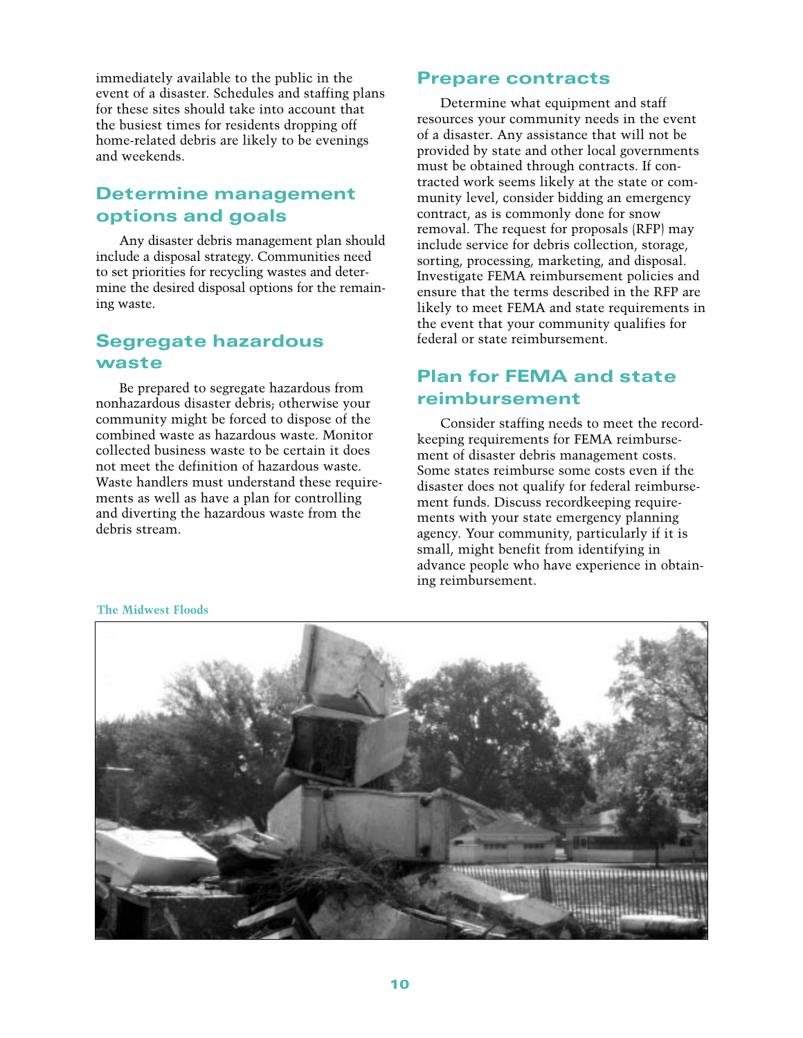<span id="page-14-1"></span>immediately available to the public in the event of a disaster. Schedules and staffing plans for these sites should take into account that the busiest times for residents dropping off home-related debris are likely to be evenings and weekends.

### <span id="page-14-0"></span>Determine management options and goals

Any disaster debris management plan should include a disposal strategy. Communities need to set priorities for recycling wastes and determine the desired disposal options for the remaining waste.

### Segregate hazardous waste

Be prepared to segregate hazardous from nonhazardous disaster debris; otherwise your community might be forced to dispose of the combined waste as hazardous waste. Monitor collected business waste to be certain it does not meet the definition of hazardous waste. Waste handlers must understand these requirements as well as have a plan for controlling and diverting the hazardous waste from the debris stream.

### Prepare contracts

Determine what equipment and staff resources your community needs in the event of a disaster. Any assistance that will not be provided by state and other local governments must be obtained through contracts. If contracted work seems likely at the state or community level, consider bidding an emergency contract, as is commonly done for snow removal. The request for proposals (RFP) may include service for debris collection, storage, sorting, processing, marketing, and disposal. Investigate FEMA reimbursement policies and ensure that the terms described in the RFP are likely to meet FEMA and state requirements in the event that your community qualifies for federal or state reimbursement.

### Plan for FEMA and state reimbursement

Consider staffing needs to meet the recordkeeping requirements for FEMA reimbursement of disaster debris management costs. Some states reimburse some costs even if the disaster does not qualify for federal reimbursement funds. Discuss recordkeeping requirements with your state emergency planning agency. Your community, particularly if it is small, might benefit from identifying in advance people who have experience in obtaining reimbursement.



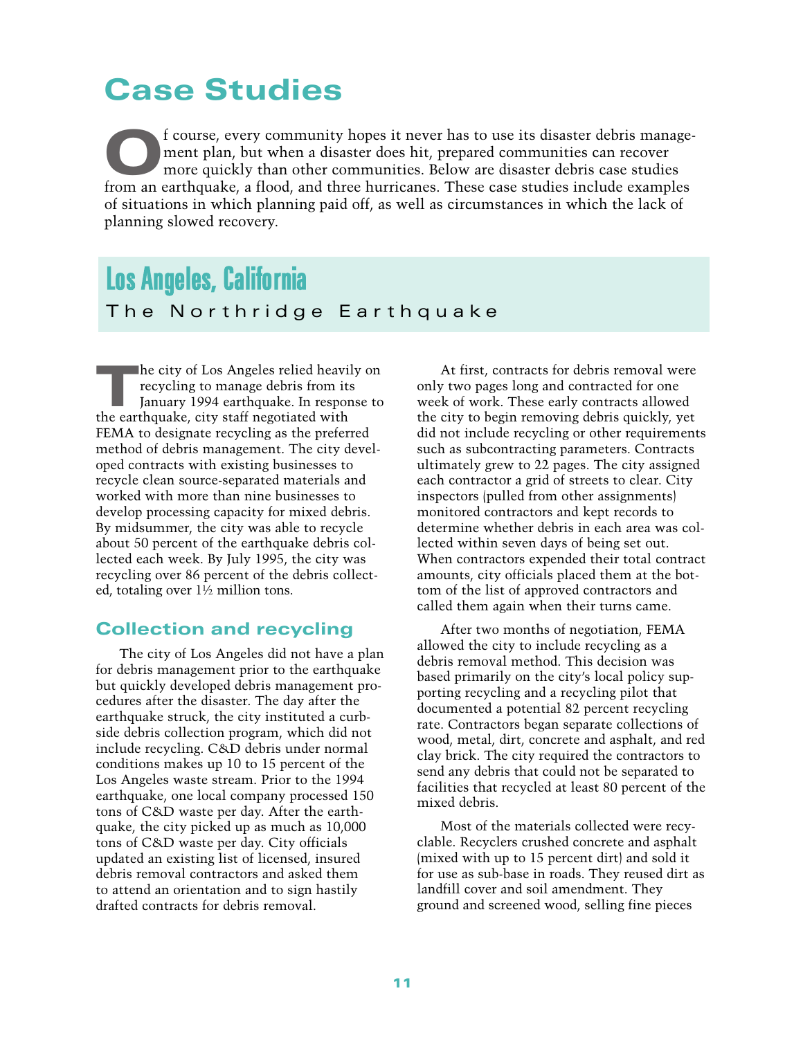# <span id="page-15-0"></span>Case Studies

f course, every community hopes it never has to use its disaster debris management plan, but when a disaster does hit, prepared communities can recover more quickly than other communities. Below are disaster debris case studies from an earthquake, a flood, and three hurricanes. These case studies include examples of situations in which planning paid off, as well as circumstances in which the lack of planning slowed recovery.

# <span id="page-15-1"></span>Los Angeles, California

#### The Northridge Earthquake

The city of Los Angeles relied heavily on recycling to manage debris from its January 1994 earthquake. In response to the earthquake, city staff negotiated with FEMA to designate recycling as the preferred method of debris management. The city developed contracts with existing businesses to recycle clean source-separated materials and worked with more than nine businesses to develop processing capacity for mixed debris. By midsummer, the city was able to recycle about 50 percent of the earthquake debris collected each week. By July 1995, the city was recycling over 86 percent of the debris collected, totaling over 1½ million tons.

#### Collection and recycling

The city of Los Angeles did not have a plan for debris management prior to the earthquake but quickly developed debris management procedures after the disaster. The day after the earthquake struck, the city instituted a curbside debris collection program, which did not include recycling. C&D debris under normal conditions makes up 10 to 15 percent of the Los Angeles waste stream. Prior to the 1994 earthquake, one local company processed 150 tons of C&D waste per day. After the earthquake, the city picked up as much as 10,000 tons of C&D waste per day. City officials updated an existing list of licensed, insured debris removal contractors and asked them to attend an orientation and to sign hastily drafted contracts for debris removal.

At first, contracts for debris removal were only two pages long and contracted for one week of work. These early contracts allowed the city to begin removing debris quickly, yet did not include recycling or other requirements such as subcontracting parameters. Contracts ultimately grew to 22 pages. The city assigned each contractor a grid of streets to clear. City inspectors (pulled from other assignments) monitored contractors and kept records to determine whether debris in each area was collected within seven days of being set out. When contractors expended their total contract amounts, city officials placed them at the bottom of the list of approved contractors and called them again when their turns came.

After two months of negotiation, FEMA allowed the city to include recycling as a debris removal method. This decision was based primarily on the city's local policy supporting recycling and a recycling pilot that documented a potential 82 percent recycling rate. Contractors began separate collections of wood, metal, dirt, concrete and asphalt, and red clay brick. The city required the contractors to send any debris that could not be separated to facilities that recycled at least 80 percent of the mixed debris.

Most of the materials collected were recyclable. Recyclers crushed concrete and asphalt (mixed with up to 15 percent dirt) and sold it for use as sub-base in roads. They reused dirt as landfill cover and soil amendment. They ground and screened wood, selling fine pieces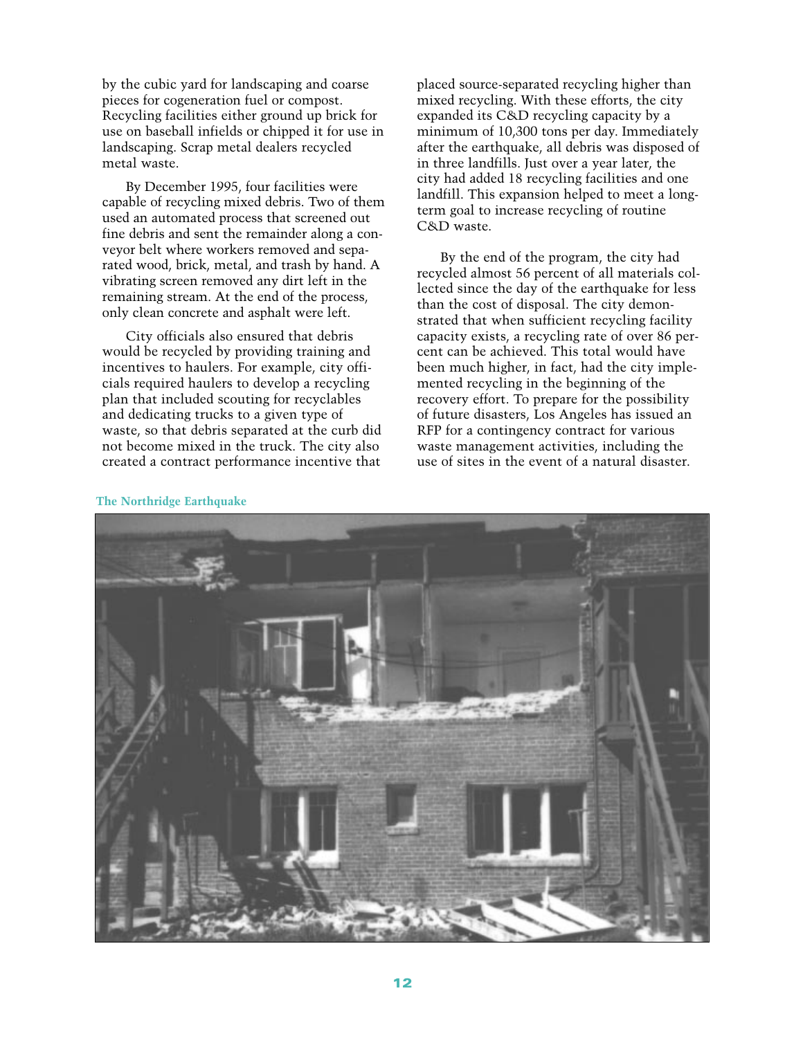by the cubic yard for landscaping and coarse pieces for cogeneration fuel or compost. Recycling facilities either ground up brick for use on baseball infields or chipped it for use in landscaping. Scrap metal dealers recycled metal waste.

By December 1995, four facilities were capable of recycling mixed debris. Two of them used an automated process that screened out fine debris and sent the remainder along a conveyor belt where workers removed and separated wood, brick, metal, and trash by hand. A vibrating screen removed any dirt left in the remaining stream. At the end of the process, only clean concrete and asphalt were left.

City officials also ensured that debris would be recycled by providing training and incentives to haulers. For example, city officials required haulers to develop a recycling plan that included scouting for recyclables and dedicating trucks to a given type of waste, so that debris separated at the curb did not become mixed in the truck. The city also created a contract performance incentive that

placed source-separated recycling higher than mixed recycling. With these efforts, the city expanded its C&D recycling capacity by a minimum of 10,300 tons per day. Immediately after the earthquake, all debris was disposed of in three landfills. Just over a year later, the city had added 18 recycling facilities and one landfill. This expansion helped to meet a longterm goal to increase recycling of routine C&D waste.

By the end of the program, the city had recycled almost 56 percent of all materials collected since the day of the earthquake for less than the cost of disposal. The city demonstrated that when sufficient recycling facility capacity exists, a recycling rate of over 86 percent can be achieved. This total would have been much higher, in fact, had the city implemented recycling in the beginning of the recovery effort. To prepare for the possibility of future disasters, Los Angeles has issued an RFP for a contingency contract for various waste management activities, including the use of sites in the event of a natural disaster.



#### **The Northridge Earthquake**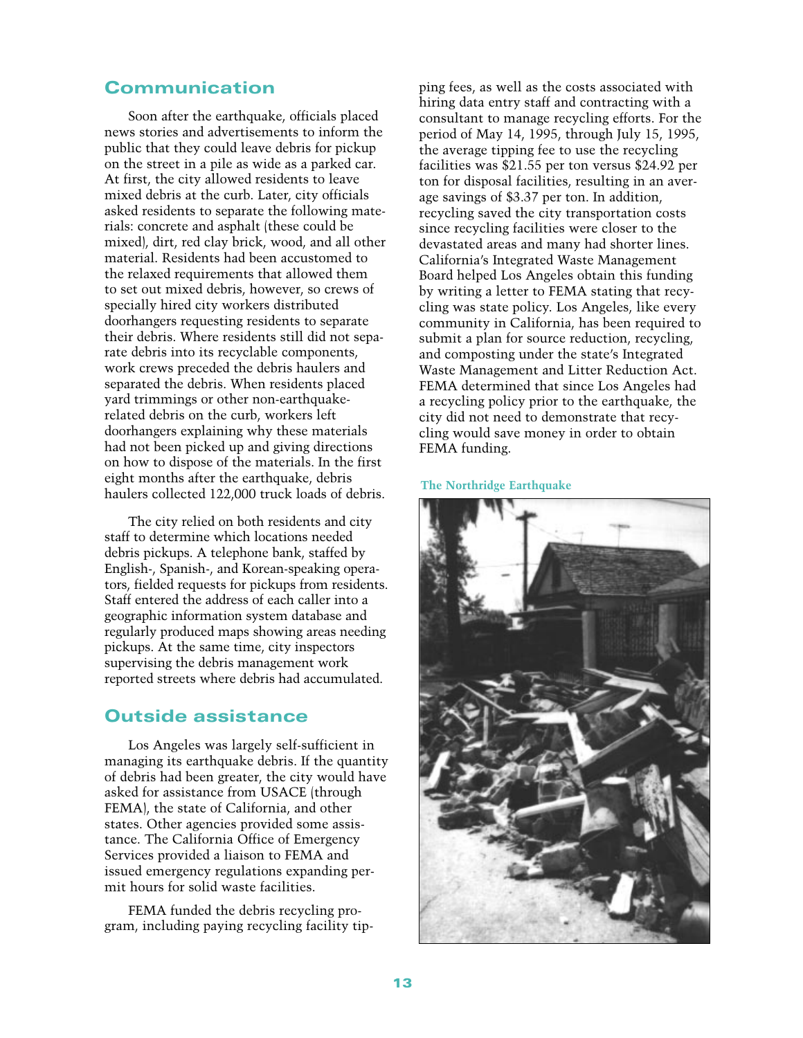#### Communication

Soon after the earthquake, officials placed news stories and advertisements to inform the public that they could leave debris for pickup on the street in a pile as wide as a parked car. At first, the city allowed residents to leave mixed debris at the curb. Later, city officials asked residents to separate the following materials: concrete and asphalt (these could be mixed), dirt, red clay brick, wood, and all other material. Residents had been accustomed to the relaxed requirements that allowed them to set out mixed debris, however, so crews of specially hired city workers distributed doorhangers requesting residents to separate their debris. Where residents still did not separate debris into its recyclable components, work crews preceded the debris haulers and separated the debris. When residents placed yard trimmings or other non-earthquakerelated debris on the curb, workers left doorhangers explaining why these materials had not been picked up and giving directions on how to dispose of the materials. In the first eight months after the earthquake, debris haulers collected 122,000 truck loads of debris.

The city relied on both residents and city staff to determine which locations needed debris pickups. A telephone bank, staffed by English-, Spanish-, and Korean-speaking operators, fielded requests for pickups from residents. Staff entered the address of each caller into a geographic information system database and regularly produced maps showing areas needing pickups. At the same time, city inspectors supervising the debris management work reported streets where debris had accumulated.

#### Outside assistance

Los Angeles was largely self-sufficient in managing its earthquake debris. If the quantity of debris had been greater, the city would have asked for assistance from USACE (through FEMA), the state of California, and other states. Other agencies provided some assistance. The California Office of Emergency Services provided a liaison to FEMA and issued emergency regulations expanding permit hours for solid waste facilities.

FEMA funded the debris recycling program, including paying recycling facility tipping fees, as well as the costs associated with hiring data entry staff and contracting with a consultant to manage recycling efforts. For the period of May 14, 1995, through July 15, 1995, the average tipping fee to use the recycling facilities was \$21.55 per ton versus \$24.92 per ton for disposal facilities, resulting in an average savings of \$3.37 per ton. In addition, recycling saved the city transportation costs since recycling facilities were closer to the devastated areas and many had shorter lines. California's Integrated Waste Management Board helped Los Angeles obtain this funding by writing a letter to FEMA stating that recycling was state policy. Los Angeles, like every community in California, has been required to submit a plan for source reduction, recycling, and composting under the state's Integrated Waste Management and Litter Reduction Act. FEMA determined that since Los Angeles had a recycling policy prior to the earthquake, the city did not need to demonstrate that recycling would save money in order to obtain FEMA funding.

#### **The Northridge Earthquake**

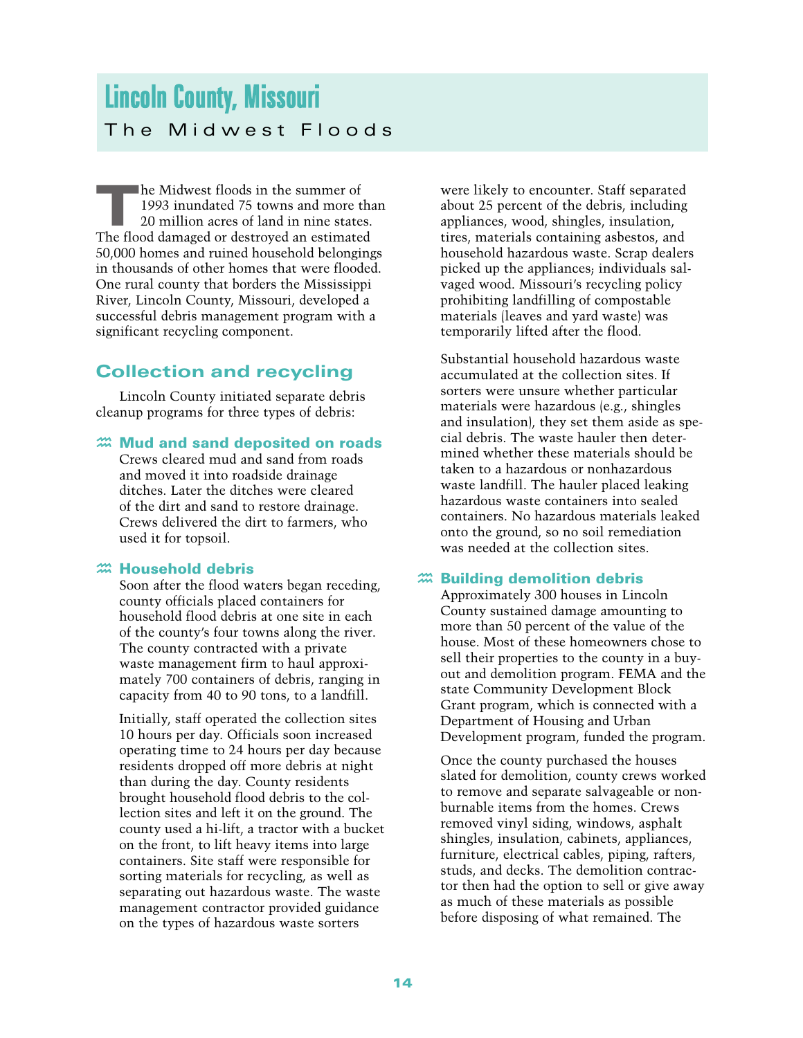# <span id="page-18-0"></span>Lincoln County, Missouri The Midwest Floods

 $\blacksquare$  he Midwest floods in the summer of 1993 inundated 75 towns and more than 20 million acres of land in nine states. The flood damaged or destroyed an estimated 50,000 homes and ruined household belongings in thousands of other homes that were flooded. One rural county that borders the Mississippi River, Lincoln County, Missouri, developed a successful debris management program with a significant recycling component.

# Collection and recycling

Lincoln County initiated separate debris cleanup programs for three types of debris:

### $\mathfrak{m}$  Mud and sand deposited on roads

Crews cleared mud and sand from roads and moved it into roadside drainage ditches. Later the ditches were cleared of the dirt and sand to restore drainage. Crews delivered the dirt to farmers, who used it for topsoil.

### *m* Household debris

Soon after the flood waters began receding, county officials placed containers for household flood debris at one site in each of the county's four towns along the river. The county contracted with a private waste management firm to haul approximately 700 containers of debris, ranging in capacity from 40 to 90 tons, to a landfill.

Initially, staff operated the collection sites 10 hours per day. Officials soon increased operating time to 24 hours per day because residents dropped off more debris at night than during the day. County residents brought household flood debris to the collection sites and left it on the ground. The county used a hi-lift, a tractor with a bucket on the front, to lift heavy items into large containers. Site staff were responsible for sorting materials for recycling, as well as separating out hazardous waste. The waste management contractor provided guidance on the types of hazardous waste sorters

were likely to encounter. Staff separated about 25 percent of the debris, including appliances, wood, shingles, insulation, tires, materials containing asbestos, and household hazardous waste. Scrap dealers picked up the appliances; individuals salvaged wood. Missouri's recycling policy prohibiting landfilling of compostable materials (leaves and yard waste) was temporarily lifted after the flood.

Substantial household hazardous waste accumulated at the collection sites. If sorters were unsure whether particular materials were hazardous (e.g., shingles and insulation), they set them aside as special debris. The waste hauler then determined whether these materials should be taken to a hazardous or nonhazardous waste landfill. The hauler placed leaking hazardous waste containers into sealed containers. No hazardous materials leaked onto the ground, so no soil remediation was needed at the collection sites.

### $\tilde{a}$  Building demolition debris

Approximately 300 houses in Lincoln County sustained damage amounting to more than 50 percent of the value of the house. Most of these homeowners chose to sell their properties to the county in a buyout and demolition program. FEMA and the state Community Development Block Grant program, which is connected with a Department of Housing and Urban Development program, funded the program.

Once the county purchased the houses slated for demolition, county crews worked to remove and separate salvageable or nonburnable items from the homes. Crews removed vinyl siding, windows, asphalt shingles, insulation, cabinets, appliances, furniture, electrical cables, piping, rafters, studs, and decks. The demolition contractor then had the option to sell or give away as much of these materials as possible before disposing of what remained. The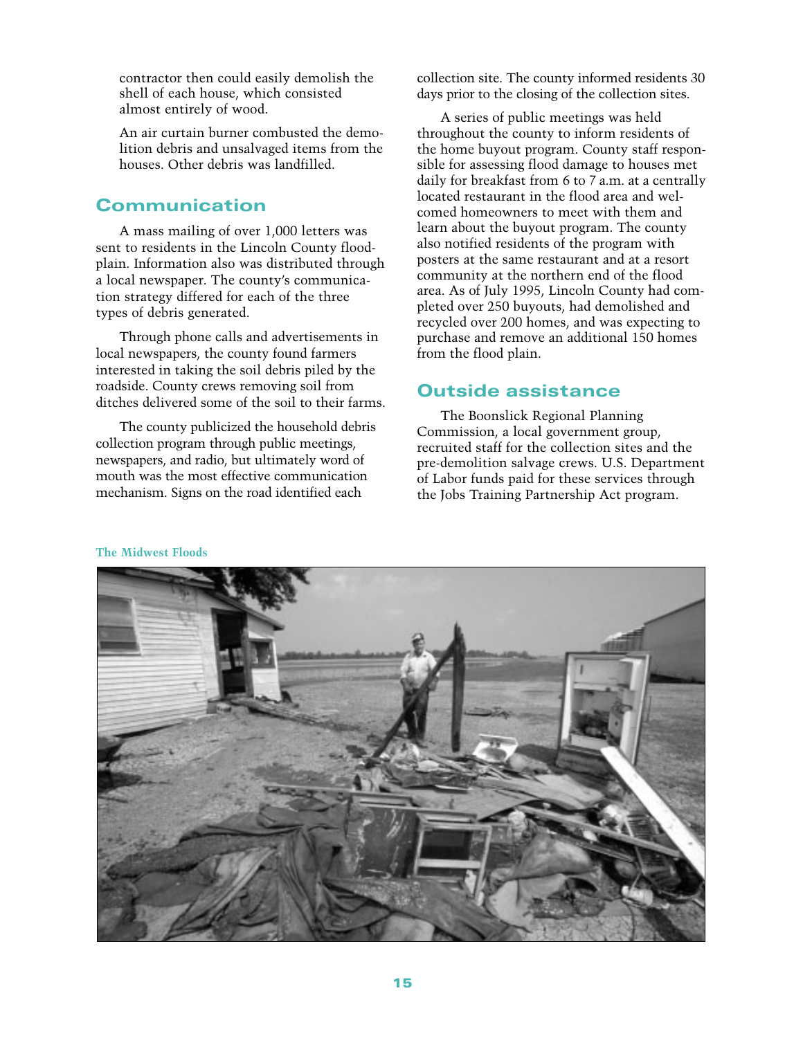contractor then could easily demolish the shell of each house, which consisted almost entirely of wood.

An air curtain burner combusted the demolition debris and unsalvaged items from the houses. Other debris was landfilled.

### Communication

A mass mailing of over 1,000 letters was sent to residents in the Lincoln County floodplain. Information also was distributed through a local newspaper. The county's communication strategy differed for each of the three types of debris generated.

Through phone calls and advertisements in local newspapers, the county found farmers interested in taking the soil debris piled by the roadside. County crews removing soil from ditches delivered some of the soil to their farms.

The county publicized the household debris collection program through public meetings, newspapers, and radio, but ultimately word of mouth was the most effective communication mechanism. Signs on the road identified each

collection site. The county informed residents 30 days prior to the closing of the collection sites.

A series of public meetings was held throughout the county to inform residents of the home buyout program. County staff responsible for assessing flood damage to houses met daily for breakfast from 6 to 7 a.m. at a centrally located restaurant in the flood area and welcomed homeowners to meet with them and learn about the buyout program. The county also notified residents of the program with posters at the same restaurant and at a resort community at the northern end of the flood area. As of July 1995, Lincoln County had completed over 250 buyouts, had demolished and recycled over 200 homes, and was expecting to purchase and remove an additional 150 homes from the flood plain.

#### Outside assistance

The Boonslick Regional Planning Commission, a local government group, recruited staff for the collection sites and the pre-demolition salvage crews. U.S. Department of Labor funds paid for these services through the Jobs Training Partnership Act program.



#### **The Midwest Floods**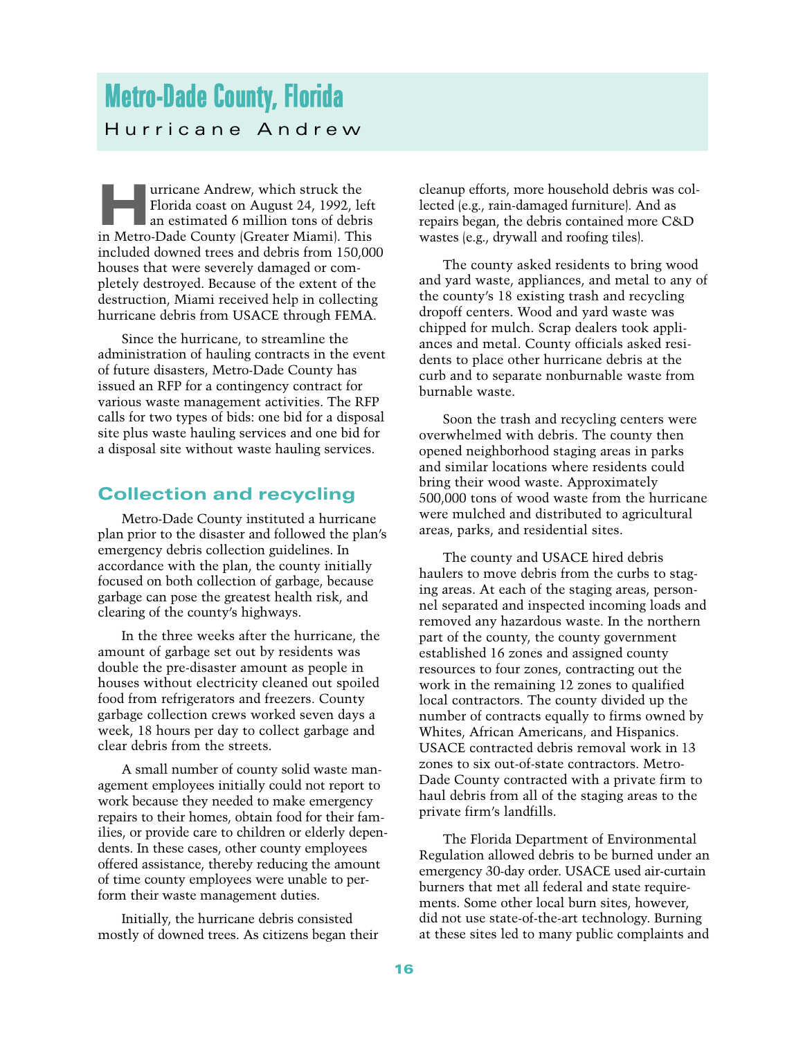# <span id="page-20-0"></span>Metro-Dade County, Florida Hurricane Andrew

urricane Andrew, which struck the Florida coast on August 24, 1992, left an estimated 6 million tons of debris in Metro-Dade County (Greater Miami). This included downed trees and debris from 150,000 houses that were severely damaged or completely destroyed. Because of the extent of the destruction, Miami received help in collecting hurricane debris from USACE through FEMA.

Since the hurricane, to streamline the administration of hauling contracts in the event of future disasters, Metro-Dade County has issued an RFP for a contingency contract for various waste management activities. The RFP calls for two types of bids: one bid for a disposal site plus waste hauling services and one bid for a disposal site without waste hauling services.

#### Collection and recycling

Metro-Dade County instituted a hurricane plan prior to the disaster and followed the plan's emergency debris collection guidelines. In accordance with the plan, the county initially focused on both collection of garbage, because garbage can pose the greatest health risk, and clearing of the county's highways.

In the three weeks after the hurricane, the amount of garbage set out by residents was double the pre-disaster amount as people in houses without electricity cleaned out spoiled food from refrigerators and freezers. County garbage collection crews worked seven days a week, 18 hours per day to collect garbage and clear debris from the streets.

A small number of county solid waste management employees initially could not report to work because they needed to make emergency repairs to their homes, obtain food for their families, or provide care to children or elderly dependents. In these cases, other county employees offered assistance, thereby reducing the amount of time county employees were unable to perform their waste management duties.

Initially, the hurricane debris consisted mostly of downed trees. As citizens began their

cleanup efforts, more household debris was collected (e.g., rain-damaged furniture). And as repairs began, the debris contained more C&D wastes (e.g., drywall and roofing tiles).

The county asked residents to bring wood and yard waste, appliances, and metal to any of the county's 18 existing trash and recycling dropoff centers. Wood and yard waste was chipped for mulch. Scrap dealers took appliances and metal. County officials asked residents to place other hurricane debris at the curb and to separate nonburnable waste from burnable waste.

Soon the trash and recycling centers were overwhelmed with debris. The county then opened neighborhood staging areas in parks and similar locations where residents could bring their wood waste. Approximately 500,000 tons of wood waste from the hurricane were mulched and distributed to agricultural areas, parks, and residential sites.

The county and USACE hired debris haulers to move debris from the curbs to staging areas. At each of the staging areas, personnel separated and inspected incoming loads and removed any hazardous waste. In the northern part of the county, the county government established 16 zones and assigned county resources to four zones, contracting out the work in the remaining 12 zones to qualified local contractors. The county divided up the number of contracts equally to firms owned by Whites, African Americans, and Hispanics. USACE contracted debris removal work in 13 zones to six out-of-state contractors. Metro-Dade County contracted with a private firm to haul debris from all of the staging areas to the private firm's landfills.

The Florida Department of Environmental Regulation allowed debris to be burned under an emergency 30-day order. USACE used air-curtain burners that met all federal and state requirements. Some other local burn sites, however, did not use state-of-the-art technology. Burning at these sites led to many public complaints and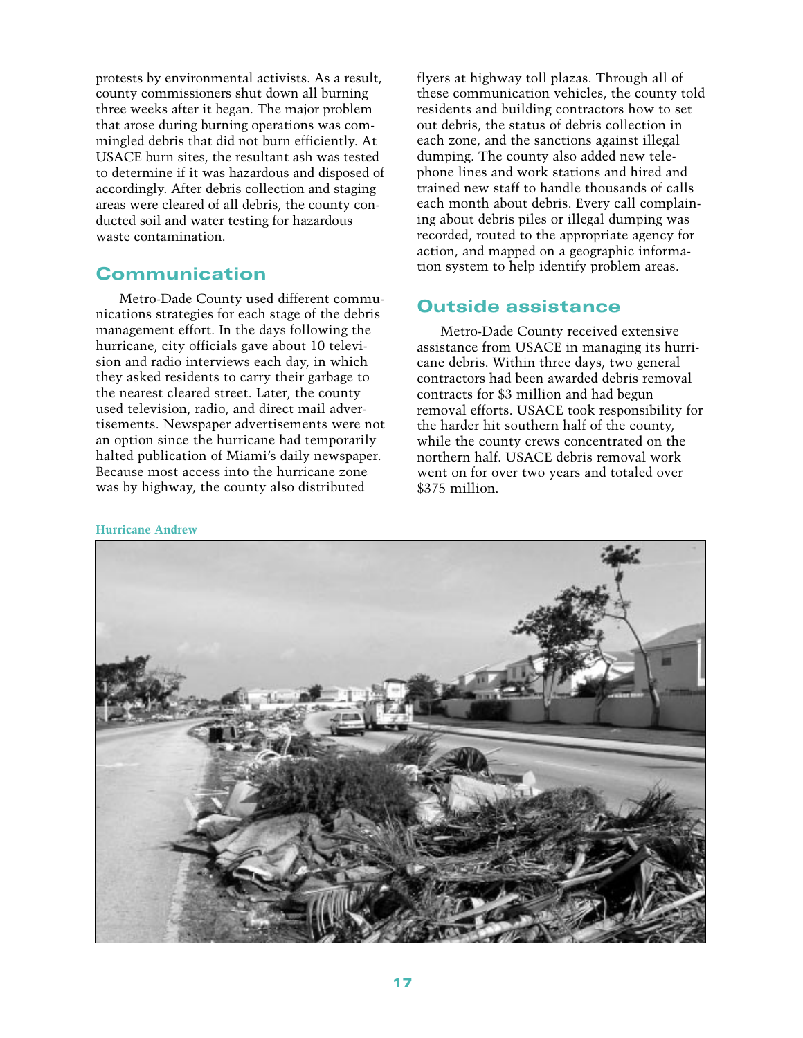protests by environmental activists. As a result, county commissioners shut down all burning three weeks after it began. The major problem that arose during burning operations was commingled debris that did not burn efficiently. At USACE burn sites, the resultant ash was tested to determine if it was hazardous and disposed of accordingly. After debris collection and staging areas were cleared of all debris, the county conducted soil and water testing for hazardous waste contamination.

#### Communication

Metro-Dade County used different communications strategies for each stage of the debris management effort. In the days following the hurricane, city officials gave about 10 television and radio interviews each day, in which they asked residents to carry their garbage to the nearest cleared street. Later, the county used television, radio, and direct mail advertisements. Newspaper advertisements were not an option since the hurricane had temporarily halted publication of Miami's daily newspaper. Because most access into the hurricane zone was by highway, the county also distributed

flyers at highway toll plazas. Through all of these communication vehicles, the county told residents and building contractors how to set out debris, the status of debris collection in each zone, and the sanctions against illegal dumping. The county also added new telephone lines and work stations and hired and trained new staff to handle thousands of calls each month about debris. Every call complaining about debris piles or illegal dumping was recorded, routed to the appropriate agency for action, and mapped on a geographic information system to help identify problem areas.

#### Outside assistance

Metro-Dade County received extensive assistance from USACE in managing its hurricane debris. Within three days, two general contractors had been awarded debris removal contracts for \$3 million and had begun removal efforts. USACE took responsibility for the harder hit southern half of the county, while the county crews concentrated on the northern half. USACE debris removal work went on for over two years and totaled over \$375 million.

#### **Hurricane Andrew**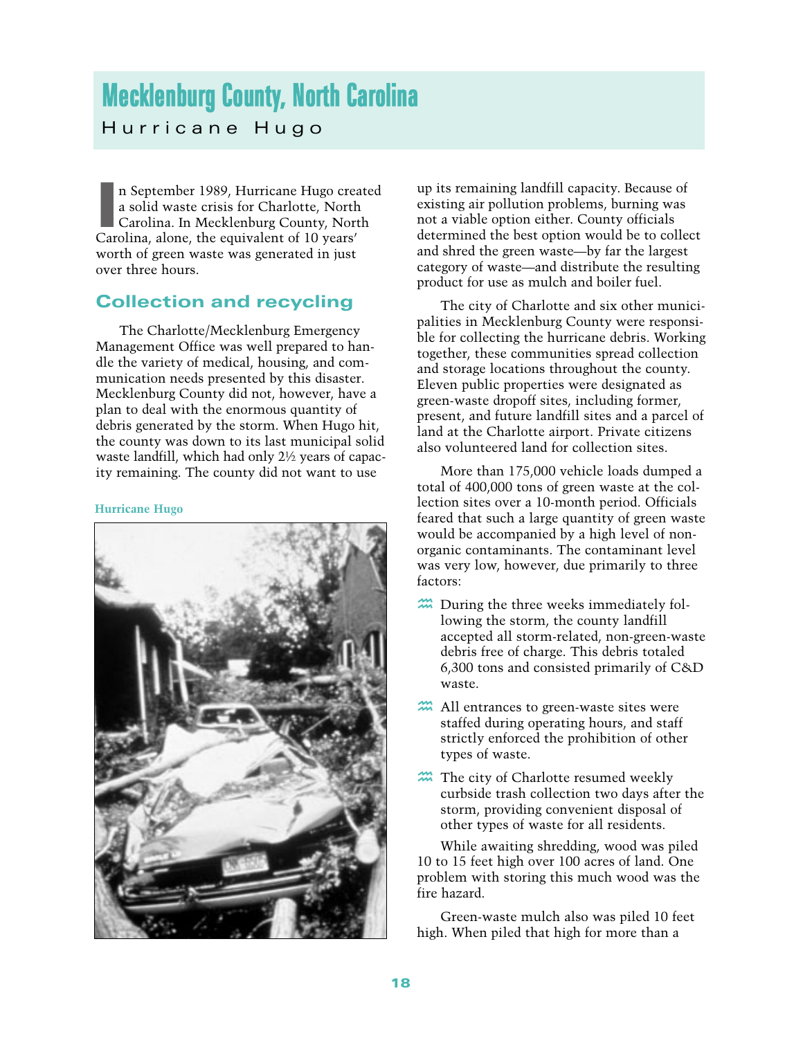# <span id="page-22-0"></span>Mecklenburg County, North Carolina Hurricane Hugo

n September 1989, Hurricane Hugo crease is solid waste crisis for Charlotte, North Carolina. In Mecklenburg County, Nor<br>Carolina, alone, the equivalent of 10 years' n September 1989, Hurricane Hugo created a solid waste crisis for Charlotte, North Carolina. In Mecklenburg County, North worth of green waste was generated in just over three hours.

### Collection and recycling

The Charlotte/Mecklenburg Emergency Management Office was well prepared to handle the variety of medical, housing, and communication needs presented by this disaster. Mecklenburg County did not, however, have a plan to deal with the enormous quantity of debris generated by the storm. When Hugo hit, the county was down to its last municipal solid waste landfill, which had only 2½ years of capacity remaining. The county did not want to use

#### **Hurricane Hugo**



up its remaining landfill capacity. Because of existing air pollution problems, burning was not a viable option either. County officials determined the best option would be to collect and shred the green waste—by far the largest category of waste—and distribute the resulting product for use as mulch and boiler fuel.

The city of Charlotte and six other municipalities in Mecklenburg County were responsible for collecting the hurricane debris. Working together, these communities spread collection and storage locations throughout the county. Eleven public properties were designated as green-waste dropoff sites, including former, present, and future landfill sites and a parcel of land at the Charlotte airport. Private citizens also volunteered land for collection sites.

More than 175,000 vehicle loads dumped a total of 400,000 tons of green waste at the collection sites over a 10-month period. Officials feared that such a large quantity of green waste would be accompanied by a high level of nonorganic contaminants. The contaminant level was very low, however, due primarily to three factors:

- $\mathfrak{m}$  During the three weeks immediately following the storm, the county landfill accepted all storm-related, non-green-waste debris free of charge. This debris totaled 6,300 tons and consisted primarily of C&D waste.
- **h All entrances to green-waste sites were** staffed during operating hours, and staff strictly enforced the prohibition of other types of waste.
- The city of Charlotte resumed weekly curbside trash collection two days after the storm, providing convenient disposal of other types of waste for all residents.

While awaiting shredding, wood was piled 10 to 15 feet high over 100 acres of land. One problem with storing this much wood was the fire hazard.

Green-waste mulch also was piled 10 feet high. When piled that high for more than a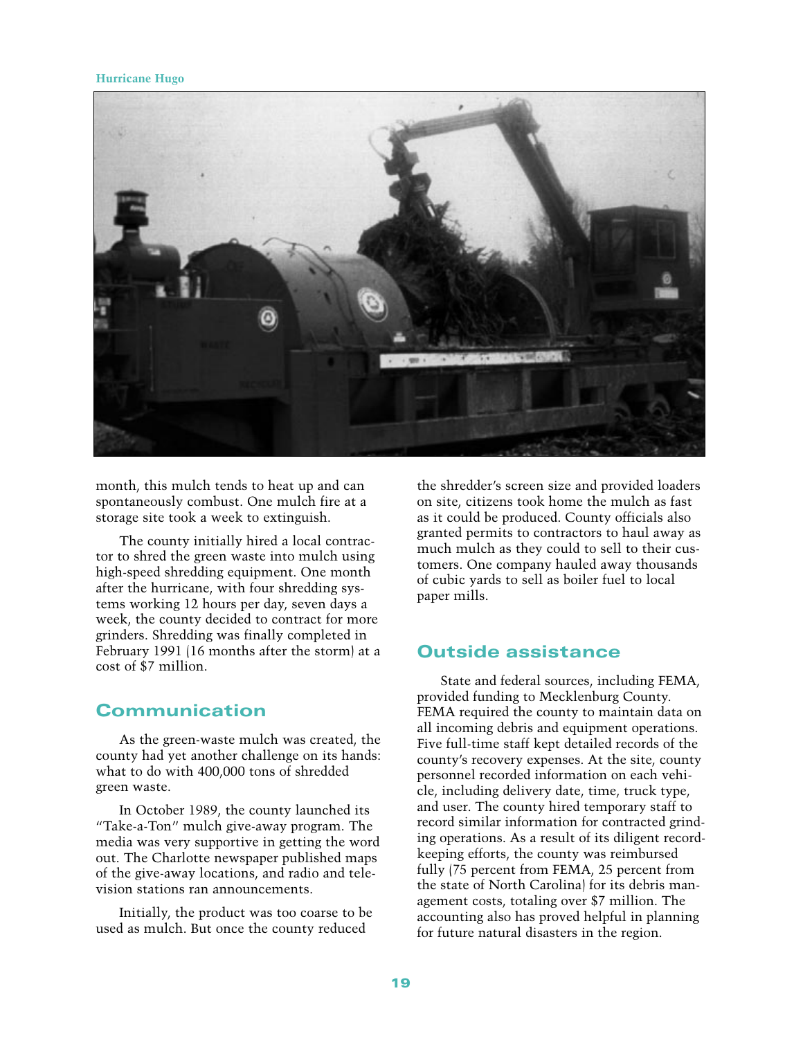#### **Hurricane Hugo**



month, this mulch tends to heat up and can spontaneously combust. One mulch fire at a storage site took a week to extinguish.

The county initially hired a local contractor to shred the green waste into mulch using high-speed shredding equipment. One month after the hurricane, with four shredding systems working 12 hours per day, seven days a week, the county decided to contract for more grinders. Shredding was finally completed in February 1991 (16 months after the storm) at a cost of \$7 million.

#### Communication

As the green-waste mulch was created, the county had yet another challenge on its hands: what to do with 400,000 tons of shredded green waste.

In October 1989, the county launched its "Take-a-Ton" mulch give-away program. The media was very supportive in getting the word out. The Charlotte newspaper published maps of the give-away locations, and radio and television stations ran announcements.

Initially, the product was too coarse to be used as mulch. But once the county reduced

the shredder's screen size and provided loaders on site, citizens took home the mulch as fast as it could be produced. County officials also granted permits to contractors to haul away as much mulch as they could to sell to their customers. One company hauled away thousands of cubic yards to sell as boiler fuel to local paper mills.

#### Outside assistance

State and federal sources, including FEMA, provided funding to Mecklenburg County. FEMA required the county to maintain data on all incoming debris and equipment operations. Five full-time staff kept detailed records of the county's recovery expenses. At the site, county personnel recorded information on each vehicle, including delivery date, time, truck type, and user. The county hired temporary staff to record similar information for contracted grinding operations. As a result of its diligent recordkeeping efforts, the county was reimbursed fully (75 percent from FEMA, 25 percent from the state of North Carolina) for its debris management costs, totaling over \$7 million. The accounting also has proved helpful in planning for future natural disasters in the region.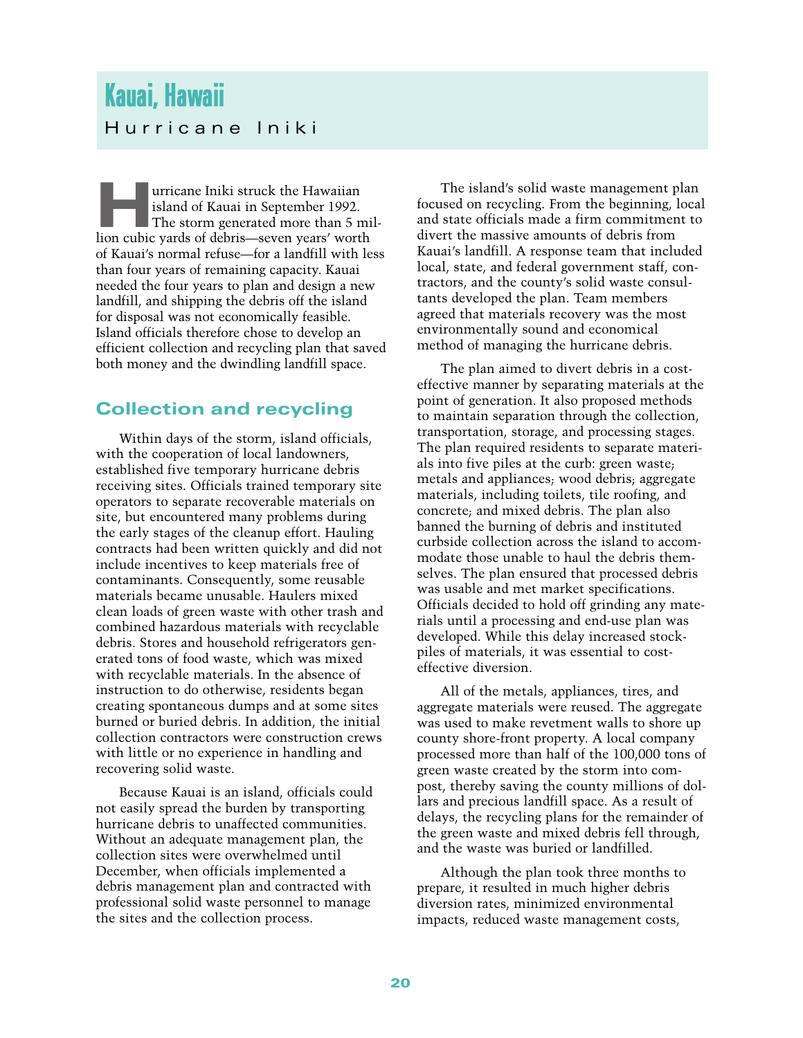# <span id="page-24-0"></span>Kauai, Hawaii Hurricane Iniki

Importance Iniki struck the Hawaiian<br>
Island of Kauai in September 1992.<br>
The storm generated more than 5 mil-<br>
lion cubic vards of debris—seven years' worth island of Kauai in September 1992. lion cubic yards of debris—seven years' worth of Kauai's normal refuse—for a landfill with less than four years of remaining capacity. Kauai needed the four years to plan and design a new landfill, and shipping the debris off the island for disposal was not economically feasible. Island officials therefore chose to develop an efficient collection and recycling plan that saved both money and the dwindling landfill space.

# Collection and recycling

Within days of the storm, island officials, with the cooperation of local landowners, established five temporary hurricane debris receiving sites. Officials trained temporary site operators to separate recoverable materials on site, but encountered many problems during the early stages of the cleanup effort. Hauling contracts had been written quickly and did not include incentives to keep materials free of contaminants. Consequently, some reusable materials became unusable. Haulers mixed clean loads of green waste with other trash and combined hazardous materials with recyclable debris. Stores and household refrigerators generated tons of food waste, which was mixed with recyclable materials. In the absence of instruction to do otherwise, residents began creating spontaneous dumps and at some sites burned or buried debris. In addition, the initial collection contractors were construction crews with little or no experience in handling and recovering solid waste.

Because Kauai is an island, officials could not easily spread the burden by transporting hurricane debris to unaffected communities. Without an adequate management plan, the collection sites were overwhelmed until December, when officials implemented a debris management plan and contracted with professional solid waste personnel to manage the sites and the collection process.

The island's solid waste management plan focused on recycling. From the beginning, local and state officials made a firm commitment to divert the massive amounts of debris from Kauai's landfill. A response team that included local, state, and federal government staff, contractors, and the county's solid waste consultants developed the plan. Team members agreed that materials recovery was the most environmentally sound and economical method of managing the hurricane debris.

The plan aimed to divert debris in a costeffective manner by separating materials at the point of generation. It also proposed methods to maintain separation through the collection, transportation, storage, and processing stages. The plan required residents to separate materials into five piles at the curb: green waste; metals and appliances; wood debris; aggregate materials, including toilets, tile roofing, and concrete; and mixed debris. The plan also banned the burning of debris and instituted curbside collection across the island to accommodate those unable to haul the debris themselves. The plan ensured that processed debris was usable and met market specifications. Officials decided to hold off grinding any materials until a processing and end-use plan was developed. While this delay increased stockpiles of materials, it was essential to costeffective diversion.

All of the metals, appliances, tires, and aggregate materials were reused. The aggregate was used to make revetment walls to shore up county shore-front property. A local company processed more than half of the 100,000 tons of green waste created by the storm into compost, thereby saving the county millions of dollars and precious landfill space. As a result of delays, the recycling plans for the remainder of the green waste and mixed debris fell through, and the waste was buried or landfilled.

Although the plan took three months to prepare, it resulted in much higher debris diversion rates, minimized environmental impacts, reduced waste management costs,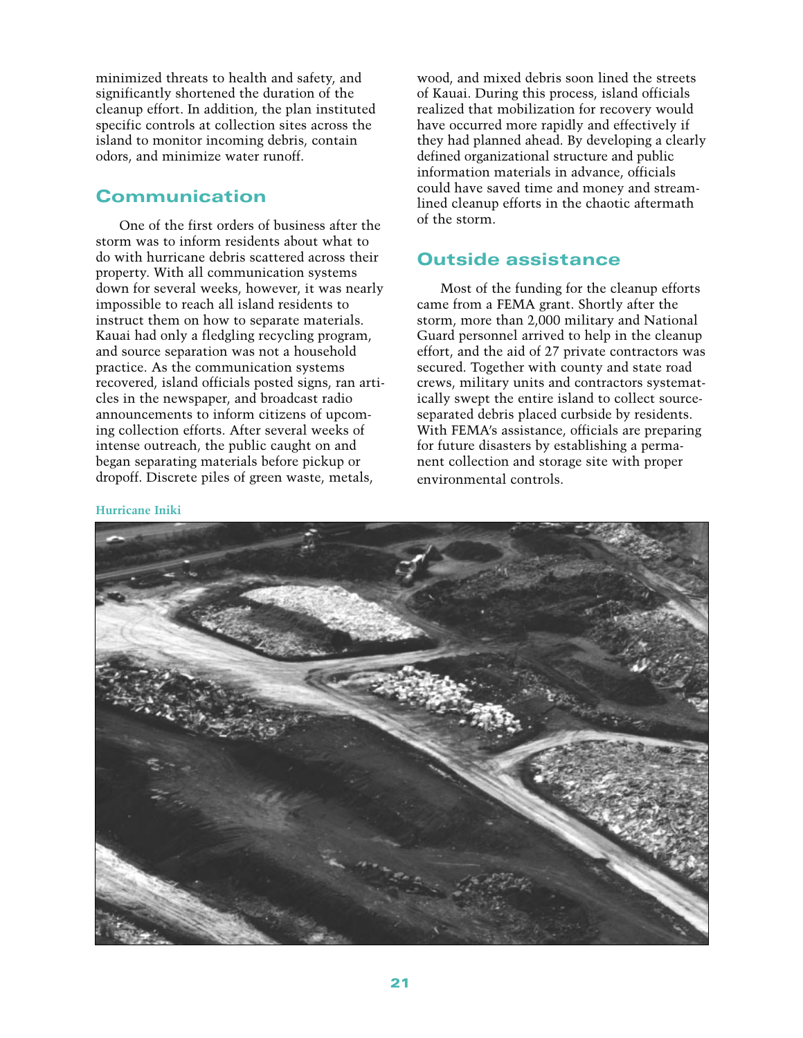minimized threats to health and safety, and significantly shortened the duration of the cleanup effort. In addition, the plan instituted specific controls at collection sites across the island to monitor incoming debris, contain odors, and minimize water runoff.

#### Communication

One of the first orders of business after the storm was to inform residents about what to do with hurricane debris scattered across their property. With all communication systems down for several weeks, however, it was nearly impossible to reach all island residents to instruct them on how to separate materials. Kauai had only a fledgling recycling program, and source separation was not a household practice. As the communication systems recovered, island officials posted signs, ran articles in the newspaper, and broadcast radio announcements to inform citizens of upcoming collection efforts. After several weeks of intense outreach, the public caught on and began separating materials before pickup or dropoff. Discrete piles of green waste, metals,

wood, and mixed debris soon lined the streets of Kauai. During this process, island officials realized that mobilization for recovery would have occurred more rapidly and effectively if they had planned ahead. By developing a clearly defined organizational structure and public information materials in advance, officials could have saved time and money and streamlined cleanup efforts in the chaotic aftermath of the storm.

### Outside assistance

Most of the funding for the cleanup efforts came from a FEMA grant. Shortly after the storm, more than 2,000 military and National Guard personnel arrived to help in the cleanup effort, and the aid of 27 private contractors was secured. Together with county and state road crews, military units and contractors systematically swept the entire island to collect sourceseparated debris placed curbside by residents. With FEMA's assistance, officials are preparing for future disasters by establishing a permanent collection and storage site with proper environmental controls.

#### **Hurricane Iniki**

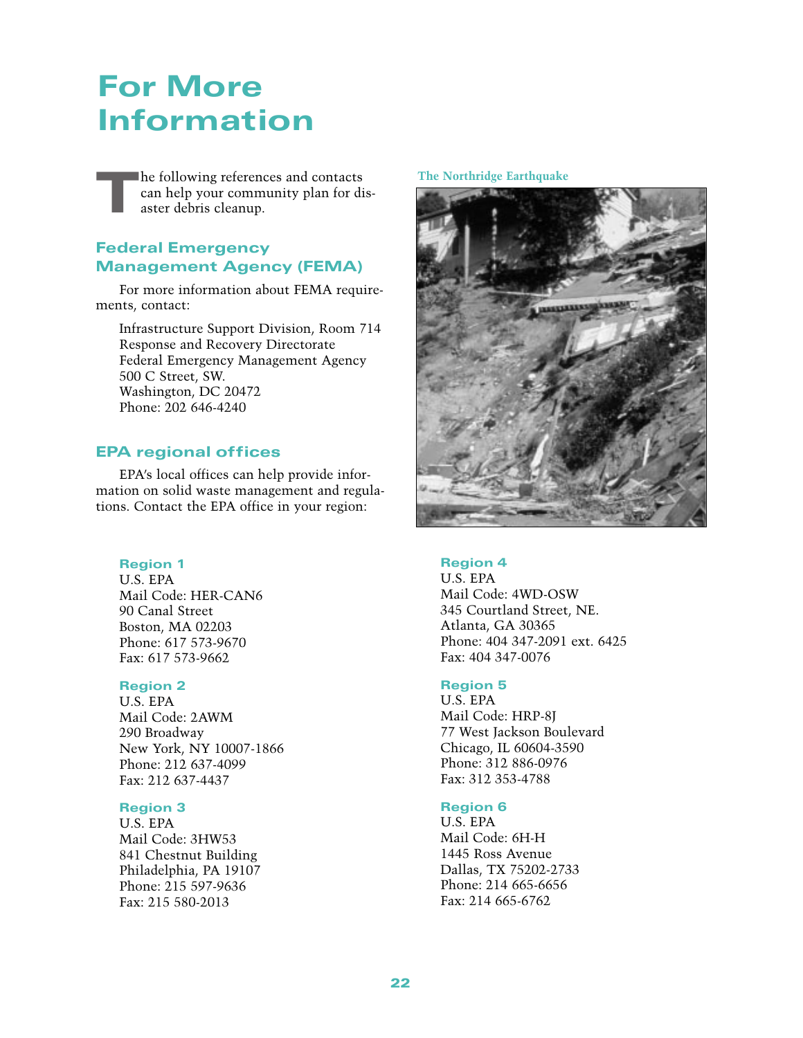# <span id="page-26-0"></span>For More Information

The following references and contacts can help your community plan for disaster debris cleanup.

#### Federal Emergency Management Agency (FEMA)

For more information about FEMA requirements, contact:

Infrastructure Support Division, Room 714 Response and Recovery Directorate Federal Emergency Management Agency 500 C Street, SW. Washington, DC 20472 Phone: 202 646-4240

#### <span id="page-26-1"></span>EPA regional offices

EPA's local offices can help provide information on solid waste management and regulations. Contact the EPA office in your region:

#### Region 1

U.S. EPA Mail Code: HER-CAN6 90 Canal Street Boston, MA 02203 Phone: 617 573-9670 Fax: 617 573-9662

#### Region 2

U.S. EPA Mail Code: 2AWM 290 Broadway New York, NY 10007-1866 Phone: 212 637-4099 Fax: 212 637-4437

#### Region 3

U.S. EPA Mail Code: 3HW53 841 Chestnut Building Philadelphia, PA 19107 Phone: 215 597-9636 Fax: 215 580-2013

#### **The Northridge Earthquake**



#### Region 4

U.S. EPA Mail Code: 4WD-OSW 345 Courtland Street, NE. Atlanta, GA 30365 Phone: 404 347-2091 ext. 6425 Fax: 404 347-0076

#### Region 5

U.S. EPA Mail Code: HRP-8J 77 West Jackson Boulevard Chicago, IL 60604-3590 Phone: 312 886-0976 Fax: 312 353-4788

#### Region 6

U.S. EPA Mail Code: 6H-H 1445 Ross Avenue Dallas, TX 75202-2733 Phone: 214 665-6656 Fax: 214 665-6762